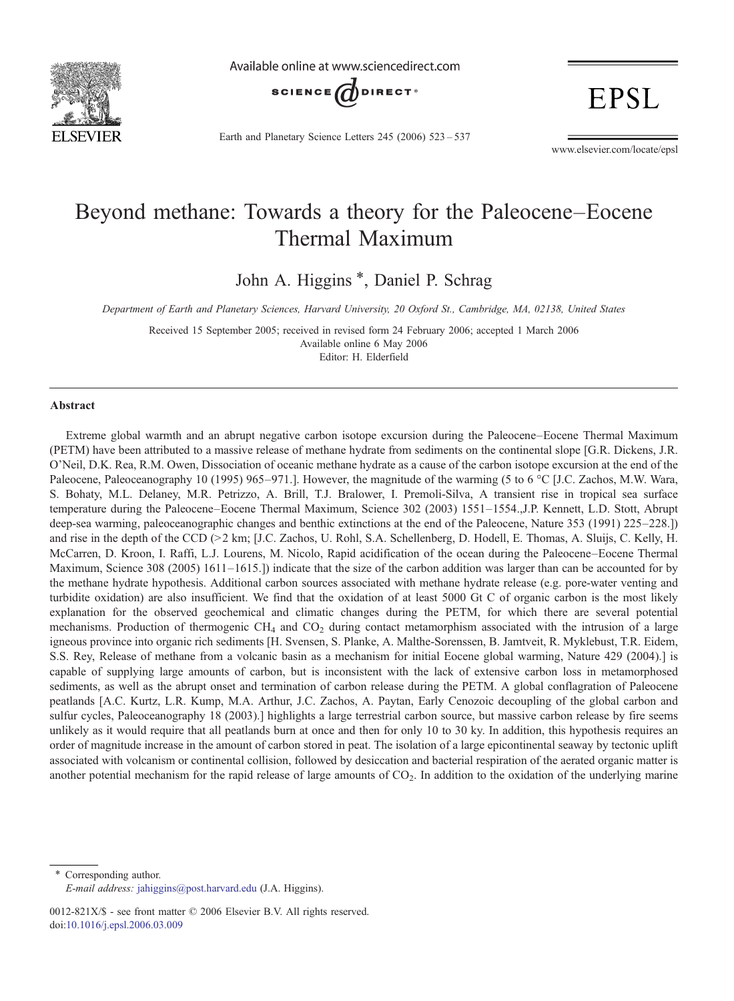

Available online at www.sciencedirect.com



**EPSL** 

Earth and Planetary Science Letters 245 (2006) 523–537

www.elsevier.com/locate/epsl

# Beyond methane: Towards a theory for the Paleocene–Eocene Thermal Maximum

John A. Higgins \*, Daniel P. Schrag

Department of Earth and Planetary Sciences, Harvard University, 20 Oxford St., Cambridge, MA, 02138, United States

Received 15 September 2005; received in revised form 24 February 2006; accepted 1 March 2006 Available online 6 May 2006 Editor: H. Elderfield

#### Abstract

Extreme global warmth and an abrupt negative carbon isotope excursion during the Paleocene–Eocene Thermal Maximum (PETM) have been attributed to a massive release of methane hydrate from sediments on the continental slope [G.R. Dickens, J.R. O'Neil, D.K. Rea, R.M. Owen, Dissociation of oceanic methane hydrate as a cause of the carbon isotope excursion at the end of the Paleocene, Paleoceanography 10 (1995) 965–971.]. However, the magnitude of the warming (5 to 6 °C [J.C. Zachos, M.W. Wara, S. Bohaty, M.L. Delaney, M.R. Petrizzo, A. Brill, T.J. Bralower, I. Premoli-Silva, A transient rise in tropical sea surface temperature during the Paleocene–Eocene Thermal Maximum, Science 302 (2003) 1551–1554.,J.P. Kennett, L.D. Stott, Abrupt deep-sea warming, paleoceanographic changes and benthic extinctions at the end of the Paleocene, Nature 353 (1991) 225–228.]) and rise in the depth of the CCD ( $>$ 2 km; [J.C. Zachos, U. Rohl, S.A. Schellenberg, D. Hodell, E. Thomas, A. Sluijs, C. Kelly, H. McCarren, D. Kroon, I. Raffi, L.J. Lourens, M. Nicolo, Rapid acidification of the ocean during the Paleocene–Eocene Thermal Maximum, Science 308 (2005) 1611–1615.]) indicate that the size of the carbon addition was larger than can be accounted for by the methane hydrate hypothesis. Additional carbon sources associated with methane hydrate release (e.g. pore-water venting and turbidite oxidation) are also insufficient. We find that the oxidation of at least 5000 Gt C of organic carbon is the most likely explanation for the observed geochemical and climatic changes during the PETM, for which there are several potential mechanisms. Production of thermogenic  $CH_4$  and  $CO_2$  during contact metamorphism associated with the intrusion of a large igneous province into organic rich sediments [H. Svensen, S. Planke, A. Malthe-Sorenssen, B. Jamtveit, R. Myklebust, T.R. Eidem, S.S. Rey, Release of methane from a volcanic basin as a mechanism for initial Eocene global warming, Nature 429 (2004).] is capable of supplying large amounts of carbon, but is inconsistent with the lack of extensive carbon loss in metamorphosed sediments, as well as the abrupt onset and termination of carbon release during the PETM. A global conflagration of Paleocene peatlands [A.C. Kurtz, L.R. Kump, M.A. Arthur, J.C. Zachos, A. Paytan, Early Cenozoic decoupling of the global carbon and sulfur cycles, Paleoceanography 18 (2003).] highlights a large terrestrial carbon source, but massive carbon release by fire seems unlikely as it would require that all peatlands burn at once and then for only 10 to 30 ky. In addition, this hypothesis requires an order of magnitude increase in the amount of carbon stored in peat. The isolation of a large epicontinental seaway by tectonic uplift associated with volcanism or continental collision, followed by desiccation and bacterial respiration of the aerated organic matter is another potential mechanism for the rapid release of large amounts of  $CO<sub>2</sub>$ . In addition to the oxidation of the underlying marine

Corresponding author. E-mail address: [jahiggins@post.harvard.edu](mailto:jahiggins@post.harvard.edu) (J.A. Higgins).

<sup>0012-821</sup>X/\$ - see front matter © 2006 Elsevier B.V. All rights reserved. [doi:10.1016/j.epsl.2006.03.009](http://dx.doi.org/10.1016/j.epsl.2006.03.009)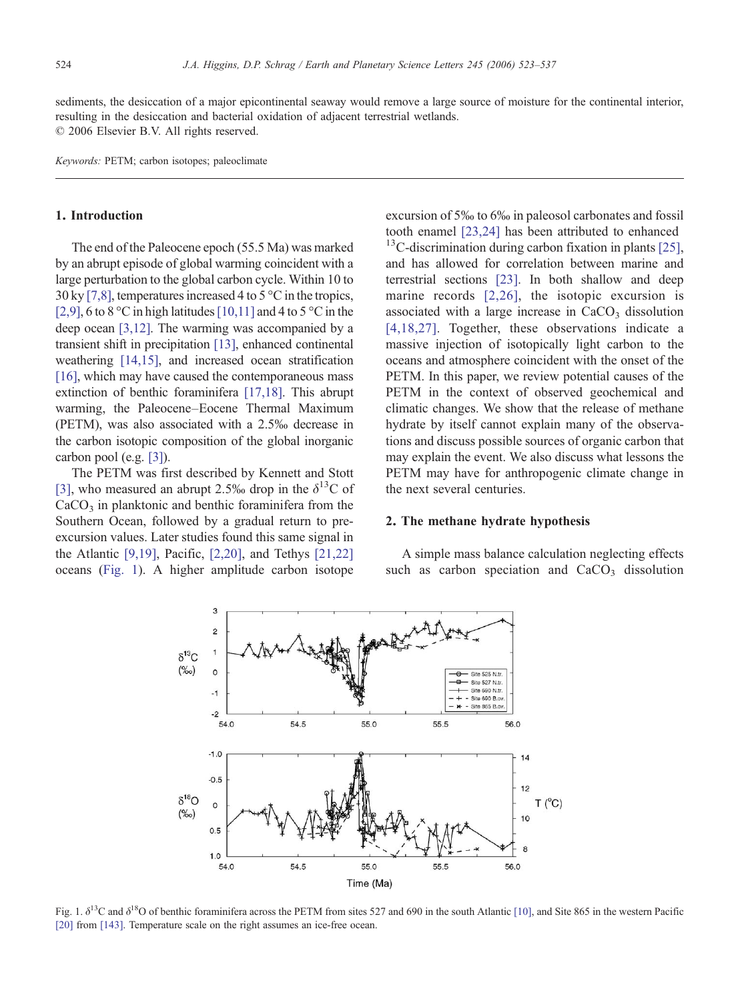sediments, the desiccation of a major epicontinental seaway would remove a large source of moisture for the continental interior. resulting in the desiccation and bacterial oxidation of adjacent terrestrial wetlands. © 2006 Elsevier B.V. All rights reserved.

Keywords: PETM; carbon isotopes; paleoclimate

#### 1. Introduction

The end of the Paleocene epoch (55.5 Ma) was marked by an abrupt episode of global warming coincident with a large perturbation to the global carbon cycle. Within 10 to  $30 \,\mathrm{ky}$  [\[7,8\],](#page-10-0) temperatures increased 4 to 5 °C in the tropics, [\[2,9\],](#page-9-0) 6 to 8 °C in high latitudes [\[10,11\]](#page-10-0) and 4 to 5 °C in the deep ocean [\[3,12\].](#page-10-0) The warming was accompanied by a transient shift in precipitation [\[13\],](#page-10-0) enhanced continental weathering [\[14,15\],](#page-10-0) and increased ocean stratification [\[16\]](#page-10-0), which may have caused the contemporaneous mass extinction of benthic foraminifera [\[17,18\]](#page-10-0). This abrupt warming, the Paleocene–Eocene Thermal Maximum (PETM), was also associated with a 2.5‰ decrease in the carbon isotopic composition of the global inorganic carbon pool (e.g. [\[3\]](#page-10-0)).

The PETM was first described by Kennett and Stott [\[3\],](#page-10-0) who measured an abrupt 2.5‰ drop in the  $\delta^{13}$ C of  $CaCO<sub>3</sub>$  in planktonic and benthic foraminifera from the Southern Ocean, followed by a gradual return to preexcursion values. Later studies found this same signal in the Atlantic [\[9,19\]](#page-10-0), Pacific, [\[2,20\]](#page-9-0), and Tethys [\[21,22\]](#page-10-0) oceans (Fig. 1). A higher amplitude carbon isotope

excursion of 5‰ to 6‰ in paleosol carbonates and fossil tooth enamel [\[23,24\]](#page-10-0) has been attributed to enhanced  $13^1$ C-discrimination during carbon fixation in plants [\[25\],](#page-10-0) and has allowed for correlation between marine and terrestrial sections [\[23\]](#page-10-0). In both shallow and deep marine records [\[2,26\],](#page-9-0) the isotopic excursion is associated with a large increase in  $CaCO<sub>3</sub>$  dissolution [\[4,18,27\]](#page-10-0). Together, these observations indicate a massive injection of isotopically light carbon to the oceans and atmosphere coincident with the onset of the PETM. In this paper, we review potential causes of the PETM in the context of observed geochemical and climatic changes. We show that the release of methane hydrate by itself cannot explain many of the observations and discuss possible sources of organic carbon that may explain the event. We also discuss what lessons the PETM may have for anthropogenic climate change in the next several centuries.

## 2. The methane hydrate hypothesis

A simple mass balance calculation neglecting effects such as carbon speciation and  $CaCO<sub>3</sub>$  dissolution



Fig. 1.  $\delta^{13}$ C and  $\delta^{18}$ O of benthic foraminifera across the PETM from sites 527 and 690 in the south Atlantic [\[10\]](#page-10-0), and Site 865 in the western Pacific [\[20\]](#page-10-0) from [\[143\]](#page-14-0). Temperature scale on the right assumes an ice-free ocean.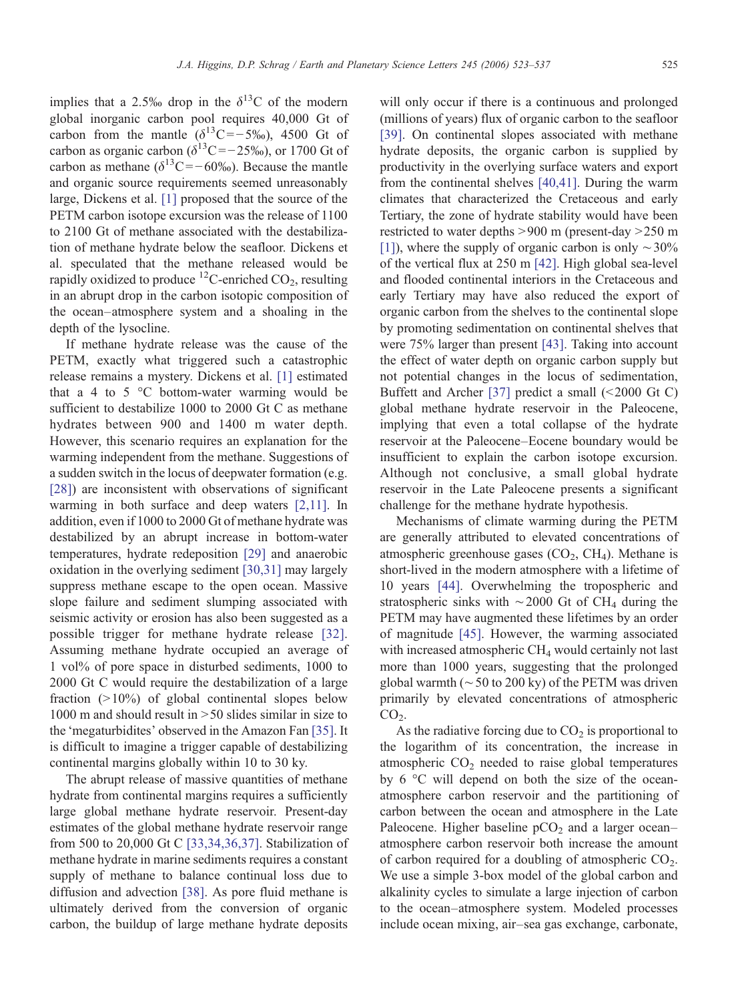implies that a 2.5‰ drop in the  $\delta^{13}$ C of the modern global inorganic carbon pool requires 40,000 Gt of carbon from the mantle  $(\delta^{13}C = -5\%)$ , 4500 Gt of carbon as organic carbon ( $\delta^{13}$ C = −25‰), or 1700 Gt of carbon as methane ( $\delta^{13}$ C = −60‰). Because the mantle and organic source requirements seemed unreasonably large, Dickens et al. [\[1\]](#page-9-0) proposed that the source of the PETM carbon isotope excursion was the release of 1100 to 2100 Gt of methane associated with the destabilization of methane hydrate below the seafloor. Dickens et al. speculated that the methane released would be rapidly oxidized to produce  ${}^{12}$ C-enriched CO<sub>2</sub>, resulting in an abrupt drop in the carbon isotopic composition of the ocean–atmosphere system and a shoaling in the depth of the lysocline.

If methane hydrate release was the cause of the PETM, exactly what triggered such a catastrophic release remains a mystery. Dickens et al. [\[1\]](#page-9-0) estimated that a 4 to 5  $\degree$ C bottom-water warming would be sufficient to destabilize 1000 to 2000 Gt C as methane hydrates between 900 and 1400 m water depth. However, this scenario requires an explanation for the warming independent from the methane. Suggestions of a sudden switch in the locus of deepwater formation (e.g. [\[28\]](#page-10-0)) are inconsistent with observations of significant warming in both surface and deep waters [\[2,11\]](#page-9-0). In addition, even if 1000 to 2000 Gt of methane hydrate was destabilized by an abrupt increase in bottom-water temperatures, hydrate redeposition [\[29\]](#page-10-0) and anaerobic oxidation in the overlying sediment [\[30,31\]](#page-10-0) may largely suppress methane escape to the open ocean. Massive slope failure and sediment slumping associated with seismic activity or erosion has also been suggested as a possible trigger for methane hydrate release [\[32\].](#page-10-0) Assuming methane hydrate occupied an average of 1 vol% of pore space in disturbed sediments, 1000 to 2000 Gt C would require the destabilization of a large fraction  $(>10\%)$  of global continental slopes below 1000 m and should result in  $> 50$  slides similar in size to the 'megaturbidites' observed in the Amazon Fan [\[35\].](#page-11-0) It is difficult to imagine a trigger capable of destabilizing continental margins globally within 10 to 30 ky.

The abrupt release of massive quantities of methane hydrate from continental margins requires a sufficiently large global methane hydrate reservoir. Present-day estimates of the global methane hydrate reservoir range from 500 to 20,000 Gt C [\[33,34,36,37\]](#page-10-0). Stabilization of methane hydrate in marine sediments requires a constant supply of methane to balance continual loss due to diffusion and advection [\[38\].](#page-11-0) As pore fluid methane is ultimately derived from the conversion of organic carbon, the buildup of large methane hydrate deposits

will only occur if there is a continuous and prolonged (millions of years) flux of organic carbon to the seafloor [\[39\]](#page-11-0). On continental slopes associated with methane hydrate deposits, the organic carbon is supplied by productivity in the overlying surface waters and export from the continental shelves [\[40,41\]](#page-11-0). During the warm climates that characterized the Cretaceous and early Tertiary, the zone of hydrate stability would have been restricted to water depths  $> 900$  m (present-day  $> 250$  m [\[1\]](#page-9-0)), where the supply of organic carbon is only  $\sim$ 30% of the vertical flux at 250 m [\[42\].](#page-11-0) High global sea-level and flooded continental interiors in the Cretaceous and early Tertiary may have also reduced the export of organic carbon from the shelves to the continental slope by promoting sedimentation on continental shelves that were 75% larger than present [\[43\]](#page-11-0). Taking into account the effect of water depth on organic carbon supply but not potential changes in the locus of sedimentation, Buffett and Archer [\[37\]](#page-11-0) predict a small  $(\leq 2000 \text{ Gt C})$ global methane hydrate reservoir in the Paleocene, implying that even a total collapse of the hydrate reservoir at the Paleocene–Eocene boundary would be insufficient to explain the carbon isotope excursion. Although not conclusive, a small global hydrate reservoir in the Late Paleocene presents a significant challenge for the methane hydrate hypothesis.

Mechanisms of climate warming during the PETM are generally attributed to elevated concentrations of atmospheric greenhouse gases  $(CO<sub>2</sub>, CH<sub>4</sub>)$ . Methane is short-lived in the modern atmosphere with a lifetime of 10 years [\[44\]](#page-11-0). Overwhelming the tropospheric and stratospheric sinks with  $\sim$ 2000 Gt of CH<sub>4</sub> during the PETM may have augmented these lifetimes by an order of magnitude [\[45\]](#page-11-0). However, the warming associated with increased atmospheric  $CH<sub>4</sub>$  would certainly not last more than 1000 years, suggesting that the prolonged global warmth ( $\sim$  50 to 200 ky) of the PETM was driven primarily by elevated concentrations of atmospheric  $CO<sub>2</sub>$ .

As the radiative forcing due to  $CO<sub>2</sub>$  is proportional to the logarithm of its concentration, the increase in atmospheric  $CO<sub>2</sub>$  needed to raise global temperatures by 6 °C will depend on both the size of the oceanatmosphere carbon reservoir and the partitioning of carbon between the ocean and atmosphere in the Late Paleocene. Higher baseline  $pCO<sub>2</sub>$  and a larger ocean– atmosphere carbon reservoir both increase the amount of carbon required for a doubling of atmospheric  $CO<sub>2</sub>$ . We use a simple 3-box model of the global carbon and alkalinity cycles to simulate a large injection of carbon to the ocean–atmosphere system. Modeled processes include ocean mixing, air–sea gas exchange, carbonate,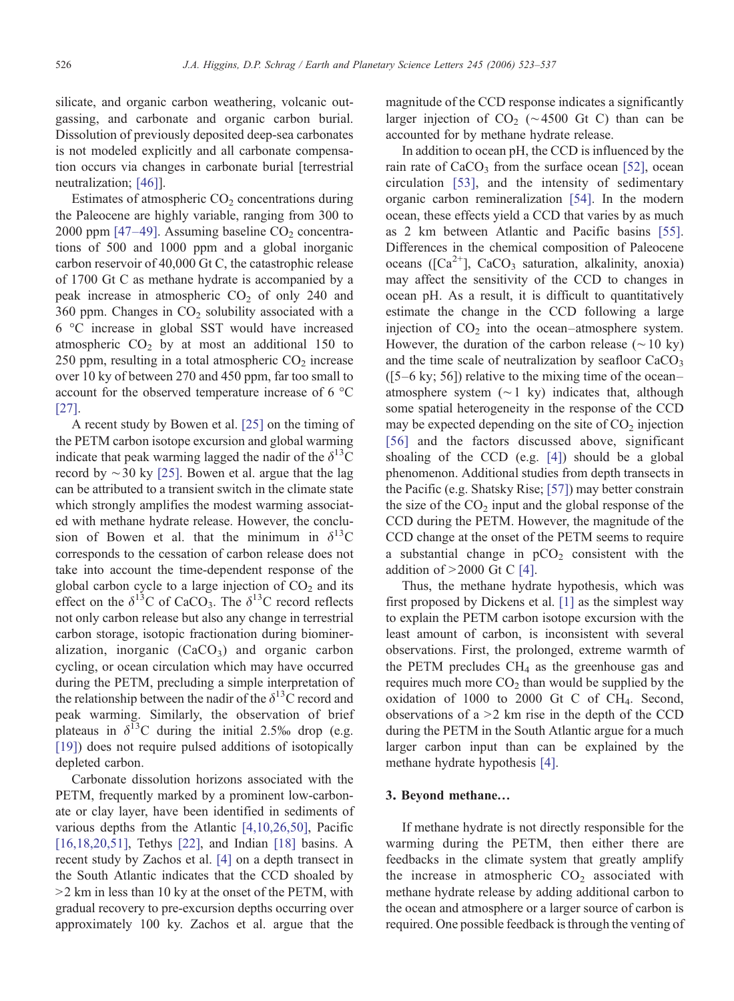silicate, and organic carbon weathering, volcanic outgassing, and carbonate and organic carbon burial. Dissolution of previously deposited deep-sea carbonates is not modeled explicitly and all carbonate compensation occurs via changes in carbonate burial [terrestrial neutralization; [\[46\]](#page-11-0)].

Estimates of atmospheric  $CO<sub>2</sub>$  concentrations during the Paleocene are highly variable, ranging from 300 to 2000 ppm  $[47-49]$ . Assuming baseline  $CO<sub>2</sub>$  concentrations of 500 and 1000 ppm and a global inorganic carbon reservoir of 40,000 Gt C, the catastrophic release of 1700 Gt C as methane hydrate is accompanied by a peak increase in atmospheric  $CO<sub>2</sub>$  of only 240 and 360 ppm. Changes in  $CO<sub>2</sub>$  solubility associated with a 6 °C increase in global SST would have increased atmospheric  $CO<sub>2</sub>$  by at most an additional 150 to 250 ppm, resulting in a total atmospheric  $CO<sub>2</sub>$  increase over 10 ky of between 270 and 450 ppm, far too small to account for the observed temperature increase of 6 °C [\[27\].](#page-10-0)

A recent study by Bowen et al. [\[25\]](#page-10-0) on the timing of the PETM carbon isotope excursion and global warming indicate that peak warming lagged the nadir of the  $\delta^{13}$ C record by  $\sim$  30 ky [\[25\]](#page-10-0). Bowen et al. argue that the lag can be attributed to a transient switch in the climate state which strongly amplifies the modest warming associated with methane hydrate release. However, the conclusion of Bowen et al. that the minimum in  $\delta^{13}$ C corresponds to the cessation of carbon release does not take into account the time-dependent response of the global carbon cycle to a large injection of  $CO<sub>2</sub>$  and its effect on the  $\delta^{13}$ C of CaCO<sub>3</sub>. The  $\delta^{13}$ C record reflects not only carbon release but also any change in terrestrial carbon storage, isotopic fractionation during biomineralization, inorganic  $(CaCO<sub>3</sub>)$  and organic carbon cycling, or ocean circulation which may have occurred during the PETM, precluding a simple interpretation of the relationship between the nadir of the  $\delta^{13}$ C record and peak warming. Similarly, the observation of brief plateaus in  $\delta^{13}$ C during the initial 2.5‰ drop (e.g. [\[19\]\)](#page-10-0) does not require pulsed additions of isotopically depleted carbon.

Carbonate dissolution horizons associated with the PETM, frequently marked by a prominent low-carbonate or clay layer, have been identified in sediments of various depths from the Atlantic [\[4,10,26,50\]](#page-10-0), Pacific [\[16,18,20,51\]](#page-10-0), Tethys [\[22\],](#page-10-0) and Indian [\[18\]](#page-10-0) basins. A recent study by Zachos et al. [\[4\]](#page-10-0) on a depth transect in the South Atlantic indicates that the CCD shoaled by  $>$ 2 km in less than 10 ky at the onset of the PETM, with gradual recovery to pre-excursion depths occurring over approximately 100 ky. Zachos et al. argue that the

magnitude of the CCD response indicates a significantly larger injection of  $CO<sub>2</sub>$  (~4500 Gt C) than can be accounted for by methane hydrate release.

In addition to ocean pH, the CCD is influenced by the rain rate of  $CaCO<sub>3</sub>$  from the surface ocean [\[52\]](#page-11-0), ocean circulation [\[53\],](#page-11-0) and the intensity of sedimentary organic carbon remineralization [\[54\].](#page-11-0) In the modern ocean, these effects yield a CCD that varies by as much as 2 km between Atlantic and Pacific basins [\[55\].](#page-11-0) Differences in the chemical composition of Paleocene oceans ( $[Ca^{2+}]$ , CaCO<sub>3</sub> saturation, alkalinity, anoxia) may affect the sensitivity of the CCD to changes in ocean pH. As a result, it is difficult to quantitatively estimate the change in the CCD following a large injection of  $CO<sub>2</sub>$  into the ocean–atmosphere system. However, the duration of the carbon release ( $\sim$ 10 ky) and the time scale of neutralization by seafloor  $CaCO<sub>3</sub>$  $(5-6 \text{ ky}; 56)$  relative to the mixing time of the ocean– atmosphere system (∼1 ky) indicates that, although some spatial heterogeneity in the response of the CCD may be expected depending on the site of  $CO<sub>2</sub>$  injection [\[56\]](#page-11-0) and the factors discussed above, significant shoaling of the CCD (e.g. [\[4\]](#page-10-0)) should be a global phenomenon. Additional studies from depth transects in the Pacific (e.g. Shatsky Rise; [\[57\]](#page-11-0)) may better constrain the size of the  $CO<sub>2</sub>$  input and the global response of the CCD during the PETM. However, the magnitude of the CCD change at the onset of the PETM seems to require a substantial change in  $pCO<sub>2</sub>$  consistent with the addition of  $>2000$  Gt C [\[4\]](#page-10-0).

Thus, the methane hydrate hypothesis, which was first proposed by Dickens et al. [\[1\]](#page-9-0) as the simplest way to explain the PETM carbon isotope excursion with the least amount of carbon, is inconsistent with several observations. First, the prolonged, extreme warmth of the PETM precludes  $CH<sub>4</sub>$  as the greenhouse gas and requires much more  $CO<sub>2</sub>$  than would be supplied by the oxidation of  $1000$  to  $2000$  Gt C of CH<sub>4</sub>. Second, observations of  $a > 2$  km rise in the depth of the CCD during the PETM in the South Atlantic argue for a much larger carbon input than can be explained by the methane hydrate hypothesis [\[4\]](#page-10-0).

#### 3. Beyond methane…

If methane hydrate is not directly responsible for the warming during the PETM, then either there are feedbacks in the climate system that greatly amplify the increase in atmospheric  $CO<sub>2</sub>$  associated with methane hydrate release by adding additional carbon to the ocean and atmosphere or a larger source of carbon is required. One possible feedback is through the venting of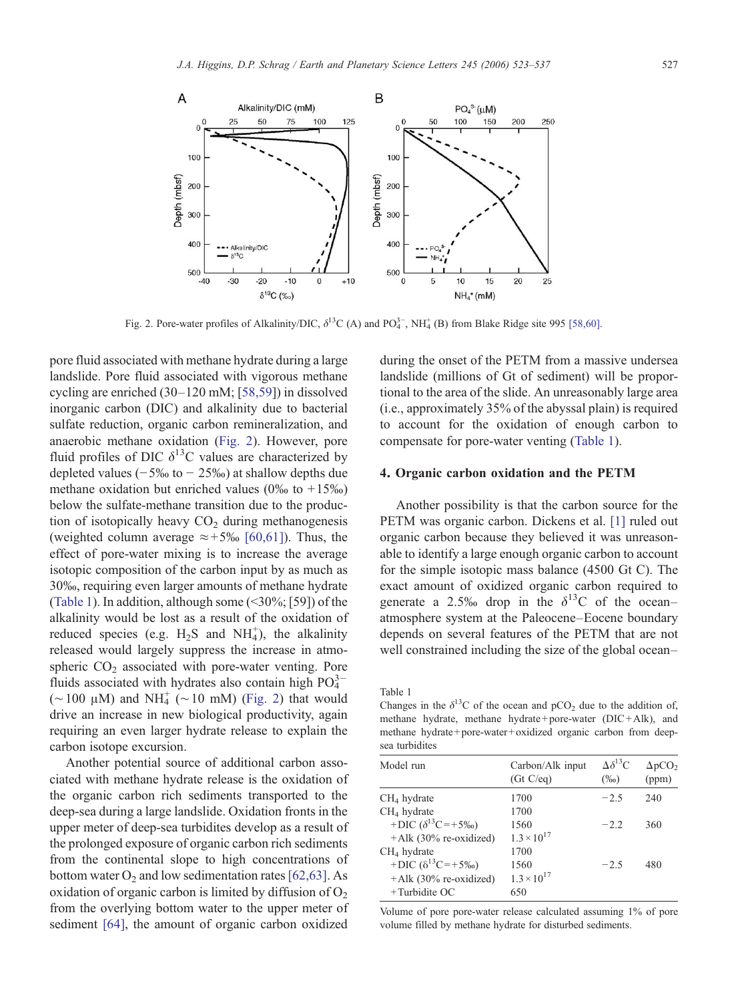

Fig. 2. Pore-water profiles of Alkalinity/DIC,  $\delta^{13}C$  (A) and PO<sup>3</sup><sub>4</sub>, NH<sup>+</sup><sub>4</sub> (B) from Blake Ridge site 995 [\[58,60\]](#page-11-0).

pore fluid associated with methane hydrate during a large landslide. Pore fluid associated with vigorous methane cycling are enriched (30–120 mM; [[58,59\]](#page-11-0)) in dissolved inorganic carbon (DIC) and alkalinity due to bacterial sulfate reduction, organic carbon remineralization, and anaerobic methane oxidation (Fig. 2). However, pore fluid profiles of DIC  $\delta^{13}$ C values are characterized by depleted values ( $-5\%$  to  $-25\%$ ) at shallow depths due methane oxidation but enriched values ( $0\%$  to  $+15\%$ ) below the sulfate-methane transition due to the production of isotopically heavy  $CO<sub>2</sub>$  during methanogenesis (weighted column average  $\approx +5\%$  [\[60,61\]\)](#page-11-0). Thus, the effect of pore-water mixing is to increase the average isotopic composition of the carbon input by as much as 30‰, requiring even larger amounts of methane hydrate (Table 1). In addition, although some  $(\leq 30\%;$  [59]) of the alkalinity would be lost as a result of the oxidation of reduced species (e.g.  $H_2S$  and  $NH_4^+$ ), the alkalinity released would largely suppress the increase in atmospheric  $CO<sub>2</sub>$  associated with pore-water venting. Pore fluids associated with hydrates also contain high  $PO_4^{3-}$ (∼100 μM) and NH<sup> $+$ </sup> (∼10 mM) (Fig. 2) that would drive an increase in new biological productivity, again requiring an even larger hydrate release to explain the carbon isotope excursion.

Another potential source of additional carbon associated with methane hydrate release is the oxidation of the organic carbon rich sediments transported to the deep-sea during a large landslide. Oxidation fronts in the upper meter of deep-sea turbidites develop as a result of the prolonged exposure of organic carbon rich sediments from the continental slope to high concentrations of bottom water  $O_2$  and low sedimentation rates [\[62,63\].](#page-11-0) As oxidation of organic carbon is limited by diffusion of  $O_2$ from the overlying bottom water to the upper meter of sediment [\[64\],](#page-11-0) the amount of organic carbon oxidized

during the onset of the PETM from a massive undersea landslide (millions of Gt of sediment) will be proportional to the area of the slide. An unreasonably large area (i.e., approximately 35% of the abyssal plain) is required to account for the oxidation of enough carbon to compensate for pore-water venting (Table 1).

#### 4. Organic carbon oxidation and the PETM

Another possibility is that the carbon source for the PETM was organic carbon. Dickens et al. [\[1\]](#page-9-0) ruled out organic carbon because they believed it was unreasonable to identify a large enough organic carbon to account for the simple isotopic mass balance (4500 Gt C). The exact amount of oxidized organic carbon required to generate a 2.5‰ drop in the  $\delta^{13}$ C of the ocean– atmosphere system at the Paleocene–Eocene boundary depends on several features of the PETM that are not well constrained including the size of the global ocean–

Table 1

Changes in the  $\delta^{13}$ C of the ocean and pCO<sub>2</sub> due to the addition of, methane hydrate, methane hydrate+pore-water (DIC+Alk), and methane hydrate+pore-water+oxidized organic carbon from deepsea turbidites

| Model run                    | Carbon/Alk input<br>(Gt C/eq) | $\Delta \delta^{13}C$<br>$(\%0)$ | $\Delta pCO2$<br>(ppm) |
|------------------------------|-------------------------------|----------------------------------|------------------------|
| CH <sub>4</sub> hydrate      | 1700                          | $-2.5$                           | 240                    |
| $CH4$ hydrate                | 1700                          |                                  |                        |
| +DIC $(\delta^{13}C = +5\%)$ | 1560                          | $-2.2$                           | 360                    |
| $+A$ lk (30% re-oxidized)    | $1.3 \times 10^{17}$          |                                  |                        |
| CH <sub>4</sub> hydrate      | 1700                          |                                  |                        |
| +DIC $(\delta^{13}C = +5\%)$ | 1560                          | $-2.5$                           | 480                    |
| $+A$ lk (30% re-oxidized)    | $1.3 \times 10^{17}$          |                                  |                        |
| $+$ Turbidite OC             | 650                           |                                  |                        |
|                              |                               |                                  |                        |

Volume of pore pore-water release calculated assuming 1% of pore volume filled by methane hydrate for disturbed sediments.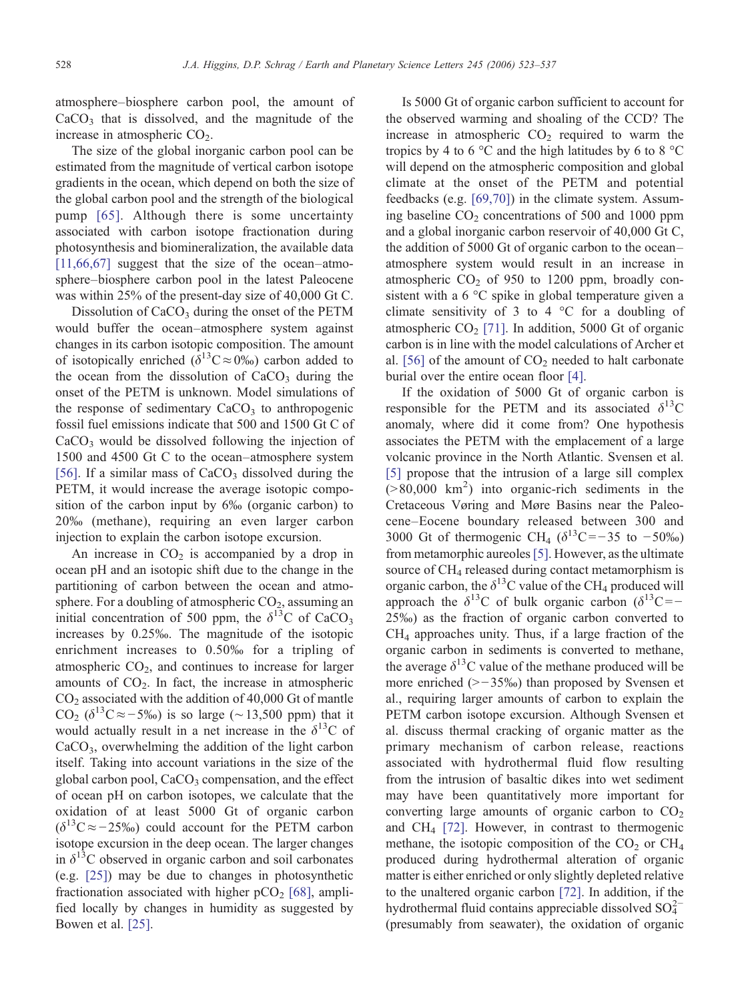atmosphere–biosphere carbon pool, the amount of  $CaCO<sub>3</sub>$  that is dissolved, and the magnitude of the increase in atmospheric  $CO<sub>2</sub>$ .

The size of the global inorganic carbon pool can be estimated from the magnitude of vertical carbon isotope gradients in the ocean, which depend on both the size of the global carbon pool and the strength of the biological pump [\[65\]](#page-11-0). Although there is some uncertainty associated with carbon isotope fractionation during photosynthesis and biomineralization, the available data [\[11,66,67\]](#page-10-0) suggest that the size of the ocean–atmosphere–biosphere carbon pool in the latest Paleocene was within 25% of the present-day size of 40,000 Gt C.

Dissolution of  $CaCO<sub>3</sub>$  during the onset of the PETM would buffer the ocean–atmosphere system against changes in its carbon isotopic composition. The amount of isotopically enriched ( $\delta^{13}C \approx 0\%$ ) carbon added to the ocean from the dissolution of  $CaCO<sub>3</sub>$  during the onset of the PETM is unknown. Model simulations of the response of sedimentary  $CaCO<sub>3</sub>$  to anthropogenic fossil fuel emissions indicate that 500 and 1500 Gt C of  $CaCO<sub>3</sub>$  would be dissolved following the injection of 1500 and 4500 Gt C to the ocean–atmosphere system [\[56\].](#page-11-0) If a similar mass of  $CaCO<sub>3</sub>$  dissolved during the PETM, it would increase the average isotopic composition of the carbon input by 6‰ (organic carbon) to 20‰ (methane), requiring an even larger carbon injection to explain the carbon isotope excursion.

An increase in  $CO<sub>2</sub>$  is accompanied by a drop in ocean pH and an isotopic shift due to the change in the partitioning of carbon between the ocean and atmosphere. For a doubling of atmospheric  $CO<sub>2</sub>$ , assuming an initial concentration of 500 ppm, the  $\delta^{13}$ C of CaCO<sub>3</sub> increases by 0.25‰. The magnitude of the isotopic enrichment increases to 0.50‰ for a tripling of atmospheric  $CO<sub>2</sub>$ , and continues to increase for larger amounts of  $CO<sub>2</sub>$ . In fact, the increase in atmospheric  $CO<sub>2</sub>$  associated with the addition of 40,000 Gt of mantle CO<sub>2</sub> ( $\delta^{13}$ C≈−5‰) is so large (~13,500 ppm) that it would actually result in a net increase in the  $\delta^{13}$ C of CaCO3, overwhelming the addition of the light carbon itself. Taking into account variations in the size of the global carbon pool,  $CaCO<sub>3</sub>$  compensation, and the effect of ocean pH on carbon isotopes, we calculate that the oxidation of at least 5000 Gt of organic carbon  $(\delta^{13}C \approx -25\%)$  could account for the PETM carbon isotope excursion in the deep ocean. The larger changes in  $\delta^{13}$ C observed in organic carbon and soil carbonates (e.g. [\[25\]\)](#page-10-0) may be due to changes in photosynthetic fractionation associated with higher  $pCO<sub>2</sub>$  [\[68\],](#page-11-0) amplified locally by changes in humidity as suggested by Bowen et al. [\[25\]](#page-10-0).

Is 5000 Gt of organic carbon sufficient to account for the observed warming and shoaling of the CCD? The increase in atmospheric  $CO<sub>2</sub>$  required to warm the tropics by 4 to 6  $\degree$ C and the high latitudes by 6 to 8  $\degree$ C will depend on the atmospheric composition and global climate at the onset of the PETM and potential feedbacks (e.g. [\[69,70\]\)](#page-11-0) in the climate system. Assuming baseline  $CO<sub>2</sub>$  concentrations of 500 and 1000 ppm and a global inorganic carbon reservoir of 40,000 Gt C, the addition of 5000 Gt of organic carbon to the ocean– atmosphere system would result in an increase in atmospheric  $CO<sub>2</sub>$  of 950 to 1200 ppm, broadly consistent with a 6 °C spike in global temperature given a climate sensitivity of 3 to 4  $^{\circ}$ C for a doubling of atmospheric  $CO<sub>2</sub>$  [\[71\].](#page-11-0) In addition, 5000 Gt of organic carbon is in line with the model calculations of Archer et al. [\[56\]](#page-11-0) of the amount of  $CO<sub>2</sub>$  needed to halt carbonate burial over the entire ocean floor [\[4\].](#page-10-0)

If the oxidation of 5000 Gt of organic carbon is responsible for the PETM and its associated  $\delta^{13}$ C anomaly, where did it come from? One hypothesis associates the PETM with the emplacement of a large volcanic province in the North Atlantic. Svensen et al. [\[5\]](#page-10-0) propose that the intrusion of a large sill complex  $( > 80,000 \text{ km}^2)$  into organic-rich sediments in the Cretaceous Vøring and Møre Basins near the Paleocene–Eocene boundary released between 300 and 3000 Gt of thermogenic CH<sub>4</sub> ( $\delta^{13}$ C=−35 to −50‰) from metamorphic aureoles[\[5\].](#page-10-0) However, as the ultimate source of  $CH<sub>4</sub>$  released during contact metamorphism is organic carbon, the  $\delta^{13}$ C value of the CH<sub>4</sub> produced will approach the  $\delta^{13}$ C of bulk organic carbon ( $\delta^{13}$ C =− 25‰) as the fraction of organic carbon converted to CH4 approaches unity. Thus, if a large fraction of the organic carbon in sediments is converted to methane, the average  $\delta^{13}$ C value of the methane produced will be more enriched  $(>-35\%)$  than proposed by Svensen et al., requiring larger amounts of carbon to explain the PETM carbon isotope excursion. Although Svensen et al. discuss thermal cracking of organic matter as the primary mechanism of carbon release, reactions associated with hydrothermal fluid flow resulting from the intrusion of basaltic dikes into wet sediment may have been quantitatively more important for converting large amounts of organic carbon to  $CO<sub>2</sub>$ and  $CH_4$  [\[72\].](#page-11-0) However, in contrast to thermogenic methane, the isotopic composition of the  $CO<sub>2</sub>$  or  $CH<sub>4</sub>$ produced during hydrothermal alteration of organic matter is either enriched or only slightly depleted relative to the unaltered organic carbon [\[72\]](#page-11-0). In addition, if the hydrothermal fluid contains appreciable dissolved  $SO_4^{2-}$ (presumably from seawater), the oxidation of organic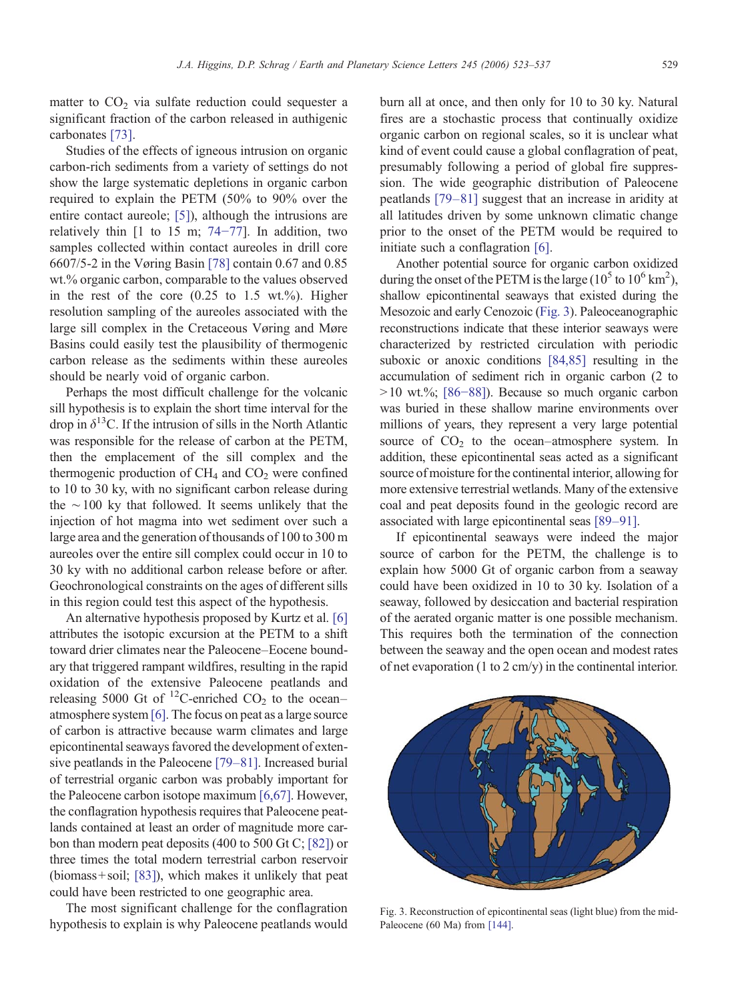matter to  $CO<sub>2</sub>$  via sulfate reduction could sequester a significant fraction of the carbon released in authigenic carbonates [\[73\]](#page-12-0).

Studies of the effects of igneous intrusion on organic carbon-rich sediments from a variety of settings do not show the large systematic depletions in organic carbon required to explain the PETM (50% to 90% over the entire contact aureole; [\[5\]\)](#page-10-0), although the intrusions are relatively thin  $[1 \text{ to } 15 \text{ m}; 74-77]$  $[1 \text{ to } 15 \text{ m}; 74-77]$  $[1 \text{ to } 15 \text{ m}; 74-77]$ . In addition, two samples collected within contact aureoles in drill core 6607/5-2 in the Vøring Basin [\[78\]](#page-12-0) contain 0.67 and 0.85 wt.% organic carbon, comparable to the values observed in the rest of the core  $(0.25 \text{ to } 1.5 \text{ wt.}\%)$ . Higher resolution sampling of the aureoles associated with the large sill complex in the Cretaceous Vøring and Møre Basins could easily test the plausibility of thermogenic carbon release as the sediments within these aureoles should be nearly void of organic carbon.

Perhaps the most difficult challenge for the volcanic sill hypothesis is to explain the short time interval for the drop in  $\delta^{13}$ C. If the intrusion of sills in the North Atlantic was responsible for the release of carbon at the PETM, then the emplacement of the sill complex and the thermogenic production of  $CH<sub>4</sub>$  and  $CO<sub>2</sub>$  were confined to 10 to 30 ky, with no significant carbon release during the ∼100 ky that followed. It seems unlikely that the injection of hot magma into wet sediment over such a large area and the generation of thousands of 100 to 300 m aureoles over the entire sill complex could occur in 10 to 30 ky with no additional carbon release before or after. Geochronological constraints on the ages of different sills in this region could test this aspect of the hypothesis.

An alternative hypothesis proposed by Kurtz et al. [\[6\]](#page-10-0) attributes the isotopic excursion at the PETM to a shift toward drier climates near the Paleocene–Eocene boundary that triggered rampant wildfires, resulting in the rapid oxidation of the extensive Paleocene peatlands and releasing 5000 Gt of  $^{12}$ C-enriched CO<sub>2</sub> to the ocean– atmosphere system [\[6\]](#page-10-0). The focus on peat as a large source of carbon is attractive because warm climates and large epicontinental seaways favored the development of extensive peatlands in the Paleocene [79–[81\]](#page-12-0). Increased burial of terrestrial organic carbon was probably important for the Paleocene carbon isotope maximum [\[6,67\].](#page-10-0) However, the conflagration hypothesis requires that Paleocene peatlands contained at least an order of magnitude more carbon than modern peat deposits (400 to 500 Gt C; [\[82\]](#page-12-0)) or three times the total modern terrestrial carbon reservoir (biomass+ soil; [\[83\]\)](#page-12-0), which makes it unlikely that peat could have been restricted to one geographic area.

The most significant challenge for the conflagration hypothesis to explain is why Paleocene peatlands would

burn all at once, and then only for 10 to 30 ky. Natural fires are a stochastic process that continually oxidize organic carbon on regional scales, so it is unclear what kind of event could cause a global conflagration of peat, presumably following a period of global fire suppression. The wide geographic distribution of Paleocene peatlands [\[79](#page-12-0)–81] suggest that an increase in aridity at all latitudes driven by some unknown climatic change prior to the onset of the PETM would be required to initiate such a conflagration [\[6\].](#page-10-0)

Another potential source for organic carbon oxidized during the onset of the PETM is the large ( $10^5$  to  $10^6$  km<sup>2</sup>), shallow epicontinental seaways that existed during the Mesozoic and early Cenozoic (Fig. 3). Paleoceanographic reconstructions indicate that these interior seaways were characterized by restricted circulation with periodic suboxic or anoxic conditions [\[84,85\]](#page-12-0) resulting in the accumulation of sediment rich in organic carbon (2 to  $>10$  wt.%; [86–[88\]\)](#page-12-0). Because so much organic carbon was buried in these shallow marine environments over millions of years, they represent a very large potential source of  $CO<sub>2</sub>$  to the ocean–atmosphere system. In addition, these epicontinental seas acted as a significant source of moisture for the continental interior, allowing for more extensive terrestrial wetlands. Many of the extensive coal and peat deposits found in the geologic record are associated with large epicontinental seas [\[89](#page-12-0)–91].

If epicontinental seaways were indeed the major source of carbon for the PETM, the challenge is to explain how 5000 Gt of organic carbon from a seaway could have been oxidized in 10 to 30 ky. Isolation of a seaway, followed by desiccation and bacterial respiration of the aerated organic matter is one possible mechanism. This requires both the termination of the connection between the seaway and the open ocean and modest rates of net evaporation (1 to 2 cm/y) in the continental interior.



Fig. 3. Reconstruction of epicontinental seas (light blue) from the mid-Paleocene (60 Ma) from [\[144\]](#page-14-0).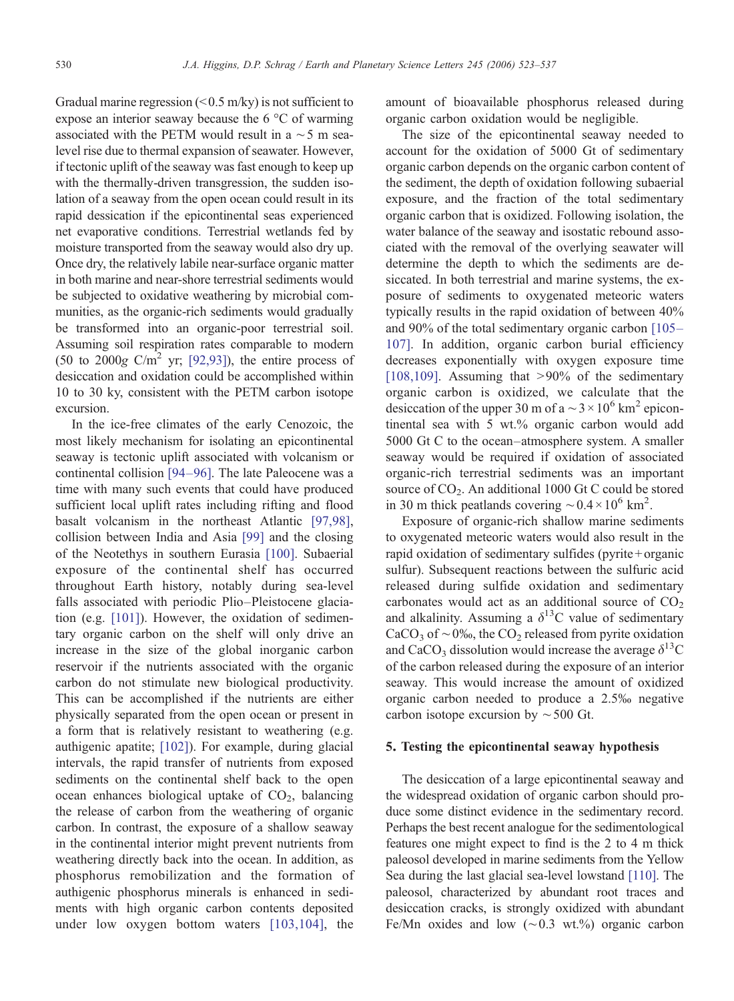Gradual marine regression  $(< 0.5$  m/ky) is not sufficient to expose an interior seaway because the 6 °C of warming associated with the PETM would result in a ∼5 m sealevel rise due to thermal expansion of seawater. However, if tectonic uplift of the seaway was fast enough to keep up with the thermally-driven transgression, the sudden isolation of a seaway from the open ocean could result in its rapid dessication if the epicontinental seas experienced net evaporative conditions. Terrestrial wetlands fed by moisture transported from the seaway would also dry up. Once dry, the relatively labile near-surface organic matter in both marine and near-shore terrestrial sediments would be subjected to oxidative weathering by microbial communities, as the organic-rich sediments would gradually be transformed into an organic-poor terrestrial soil. Assuming soil respiration rates comparable to modern (50 to 2000g C/m<sup>2</sup> yr; [\[92,93\]](#page-12-0)), the entire process of desiccation and oxidation could be accomplished within 10 to 30 ky, consistent with the PETM carbon isotope excursion.

In the ice-free climates of the early Cenozoic, the most likely mechanism for isolating an epicontinental seaway is tectonic uplift associated with volcanism or continental collision [94–[96\].](#page-12-0) The late Paleocene was a time with many such events that could have produced sufficient local uplift rates including rifting and flood basalt volcanism in the northeast Atlantic [\[97,98\],](#page-12-0) collision between India and Asia [\[99\]](#page-12-0) and the closing of the Neotethys in southern Eurasia [\[100\].](#page-12-0) Subaerial exposure of the continental shelf has occurred throughout Earth history, notably during sea-level falls associated with periodic Plio–Pleistocene glaciation (e.g. [\[101\]\)](#page-12-0). However, the oxidation of sedimentary organic carbon on the shelf will only drive an increase in the size of the global inorganic carbon reservoir if the nutrients associated with the organic carbon do not stimulate new biological productivity. This can be accomplished if the nutrients are either physically separated from the open ocean or present in a form that is relatively resistant to weathering (e.g. authigenic apatite; [\[102\]](#page-12-0)). For example, during glacial intervals, the rapid transfer of nutrients from exposed sediments on the continental shelf back to the open ocean enhances biological uptake of  $CO<sub>2</sub>$ , balancing the release of carbon from the weathering of organic carbon. In contrast, the exposure of a shallow seaway in the continental interior might prevent nutrients from weathering directly back into the ocean. In addition, as phosphorus remobilization and the formation of authigenic phosphorus minerals is enhanced in sediments with high organic carbon contents deposited under low oxygen bottom waters [\[103,104\]](#page-12-0), the

amount of bioavailable phosphorus released during organic carbon oxidation would be negligible.

The size of the epicontinental seaway needed to account for the oxidation of 5000 Gt of sedimentary organic carbon depends on the organic carbon content of the sediment, the depth of oxidation following subaerial exposure, and the fraction of the total sedimentary organic carbon that is oxidized. Following isolation, the water balance of the seaway and isostatic rebound associated with the removal of the overlying seawater will determine the depth to which the sediments are desiccated. In both terrestrial and marine systems, the exposure of sediments to oxygenated meteoric waters typically results in the rapid oxidation of between 40% and 90% of the total sedimentary organic carbon [\[105](#page-12-0)– [107\].](#page-12-0) In addition, organic carbon burial efficiency decreases exponentially with oxygen exposure time [\[108,109\]](#page-13-0). Assuming that  $>90\%$  of the sedimentary organic carbon is oxidized, we calculate that the desiccation of the upper 30 m of a  $\sim$  3 × 10<sup>6</sup> km<sup>2</sup> epicontinental sea with 5 wt.% organic carbon would add 5000 Gt C to the ocean–atmosphere system. A smaller seaway would be required if oxidation of associated organic-rich terrestrial sediments was an important source of  $CO<sub>2</sub>$ . An additional 1000 Gt C could be stored in 30 m thick peatlands covering  $\sim 0.4 \times 10^6$  km<sup>2</sup>.

Exposure of organic-rich shallow marine sediments to oxygenated meteoric waters would also result in the rapid oxidation of sedimentary sulfides (pyrite + organic sulfur). Subsequent reactions between the sulfuric acid released during sulfide oxidation and sedimentary carbonates would act as an additional source of  $CO<sub>2</sub>$ and alkalinity. Assuming a  $\delta^{13}$ C value of sedimentary CaCO<sub>3</sub> of ∼0‰, the CO<sub>2</sub> released from pyrite oxidation and CaCO<sub>3</sub> dissolution would increase the average  $\delta^{13}$ C of the carbon released during the exposure of an interior seaway. This would increase the amount of oxidized organic carbon needed to produce a 2.5‰ negative carbon isotope excursion by  $\sim$  500 Gt.

## 5. Testing the epicontinental seaway hypothesis

The desiccation of a large epicontinental seaway and the widespread oxidation of organic carbon should produce some distinct evidence in the sedimentary record. Perhaps the best recent analogue for the sedimentological features one might expect to find is the 2 to 4 m thick paleosol developed in marine sediments from the Yellow Sea during the last glacial sea-level lowstand [\[110\].](#page-13-0) The paleosol, characterized by abundant root traces and desiccation cracks, is strongly oxidized with abundant Fe/Mn oxides and low (∼0.3 wt.%) organic carbon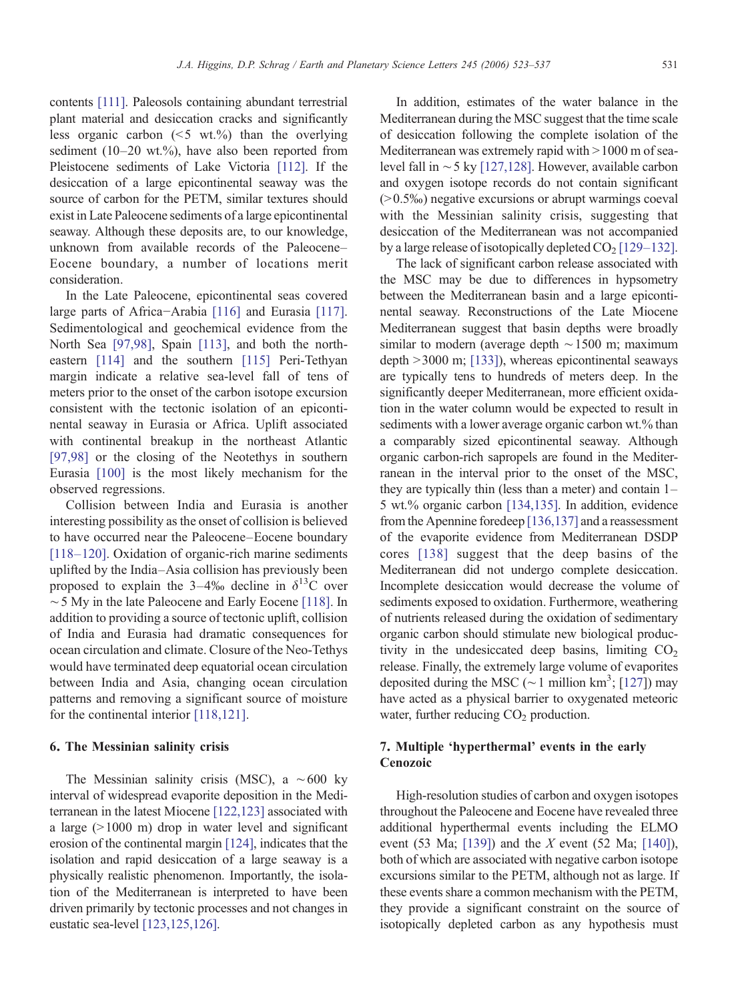contents [\[111\].](#page-13-0) Paleosols containing abundant terrestrial plant material and desiccation cracks and significantly less organic carbon  $(5 \text{ wt.})$ %) than the overlying sediment (10–20 wt.%), have also been reported from Pleistocene sediments of Lake Victoria [\[112\]](#page-13-0). If the desiccation of a large epicontinental seaway was the source of carbon for the PETM, similar textures should exist in Late Paleocene sediments of a large epicontinental seaway. Although these deposits are, to our knowledge, unknown from available records of the Paleocene– Eocene boundary, a number of locations merit consideration.

In the Late Paleocene, epicontinental seas covered large parts of Africa−Arabia [\[116\]](#page-13-0) and Eurasia [\[117\].](#page-13-0) Sedimentological and geochemical evidence from the North Sea [\[97,98\],](#page-12-0) Spain [\[113\]](#page-13-0), and both the northeastern [\[114\]](#page-13-0) and the southern [\[115\]](#page-13-0) Peri-Tethyan margin indicate a relative sea-level fall of tens of meters prior to the onset of the carbon isotope excursion consistent with the tectonic isolation of an epicontinental seaway in Eurasia or Africa. Uplift associated with continental breakup in the northeast Atlantic [\[97,98\]](#page-12-0) or the closing of the Neotethys in southern Eurasia [\[100\]](#page-12-0) is the most likely mechanism for the observed regressions.

Collision between India and Eurasia is another interesting possibility as the onset of collision is believed to have occurred near the Paleocene–Eocene boundary [118–[120\].](#page-13-0) Oxidation of organic-rich marine sediments uplifted by the India–Asia collision has previously been proposed to explain the 3–4‰ decline in  $\delta^{13}$ C over ∼5 My in the late Paleocene and Early Eocene [\[118\].](#page-13-0) In addition to providing a source of tectonic uplift, collision of India and Eurasia had dramatic consequences for ocean circulation and climate. Closure of the Neo-Tethys would have terminated deep equatorial ocean circulation between India and Asia, changing ocean circulation patterns and removing a significant source of moisture for the continental interior [\[118,121\]](#page-13-0).

## 6. The Messinian salinity crisis

The Messinian salinity crisis (MSC), a ∼600 ky interval of widespread evaporite deposition in the Mediterranean in the latest Miocene [\[122,123\]](#page-13-0) associated with a large  $(>1000 \text{ m})$  drop in water level and significant erosion of the continental margin [\[124\]](#page-13-0), indicates that the isolation and rapid desiccation of a large seaway is a physically realistic phenomenon. Importantly, the isolation of the Mediterranean is interpreted to have been driven primarily by tectonic processes and not changes in eustatic sea-level [\[123,125,126\].](#page-13-0)

In addition, estimates of the water balance in the Mediterranean during the MSC suggest that the time scale of desiccation following the complete isolation of the Mediterranean was extremely rapid with  $>1000$  m of sealevel fall in ∼5 ky [\[127,128\]](#page-13-0). However, available carbon and oxygen isotope records do not contain significant  $(0.5\%)$  negative excursions or abrupt warmings coeval with the Messinian salinity crisis, suggesting that desiccation of the Mediterranean was not accompanied by a large release of isotopically depleted  $CO<sub>2</sub>$  [129–[132\].](#page-13-0)

The lack of significant carbon release associated with the MSC may be due to differences in hypsometry between the Mediterranean basin and a large epicontinental seaway. Reconstructions of the Late Miocene Mediterranean suggest that basin depths were broadly similar to modern (average depth ∼1500 m; maximum depth  $>$  3000 m; [\[133\]\)](#page-13-0), whereas epicontinental seaways are typically tens to hundreds of meters deep. In the significantly deeper Mediterranean, more efficient oxidation in the water column would be expected to result in sediments with a lower average organic carbon wt.% than a comparably sized epicontinental seaway. Although organic carbon-rich sapropels are found in the Mediterranean in the interval prior to the onset of the MSC, they are typically thin (less than a meter) and contain 1– 5 wt.% organic carbon [\[134,135\].](#page-13-0) In addition, evidence from the Apennine foredeep [\[136,137\]](#page-13-0) and a reassessment of the evaporite evidence from Mediterranean DSDP cores [\[138\]](#page-13-0) suggest that the deep basins of the Mediterranean did not undergo complete desiccation. Incomplete desiccation would decrease the volume of sediments exposed to oxidation. Furthermore, weathering of nutrients released during the oxidation of sedimentary organic carbon should stimulate new biological productivity in the undesiccated deep basins, limiting  $CO<sub>2</sub>$ release. Finally, the extremely large volume of evaporites deposited during the MSC ( $\sim$  1 million km<sup>3</sup>; [[127](#page-13-0)]) may have acted as a physical barrier to oxygenated meteoric water, further reducing  $CO<sub>2</sub>$  production.

# 7. Multiple 'hyperthermal' events in the early Cenozoic

High-resolution studies of carbon and oxygen isotopes throughout the Paleocene and Eocene have revealed three additional hyperthermal events including the ELMO event (53 Ma; [\[139\]](#page-13-0)) and the  $X$  event (52 Ma; [\[140\]](#page-14-0)), both of which are associated with negative carbon isotope excursions similar to the PETM, although not as large. If these events share a common mechanism with the PETM, they provide a significant constraint on the source of isotopically depleted carbon as any hypothesis must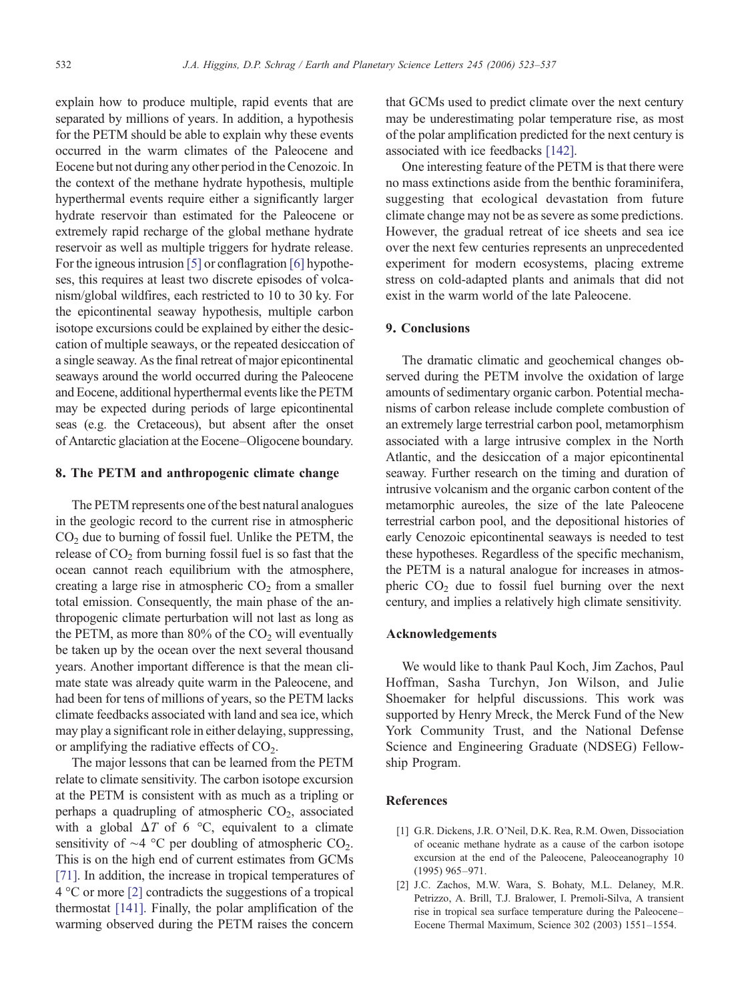<span id="page-9-0"></span>explain how to produce multiple, rapid events that are separated by millions of years. In addition, a hypothesis for the PETM should be able to explain why these events occurred in the warm climates of the Paleocene and Eocene but not during any other period in the Cenozoic. In the context of the methane hydrate hypothesis, multiple hyperthermal events require either a significantly larger hydrate reservoir than estimated for the Paleocene or extremely rapid recharge of the global methane hydrate reservoir as well as multiple triggers for hydrate release. For the igneous intrusion [\[5\]](#page-10-0) or conflagration [\[6\]](#page-10-0) hypotheses, this requires at least two discrete episodes of volcanism/global wildfires, each restricted to 10 to 30 ky. For the epicontinental seaway hypothesis, multiple carbon isotope excursions could be explained by either the desiccation of multiple seaways, or the repeated desiccation of a single seaway. As the final retreat of major epicontinental seaways around the world occurred during the Paleocene and Eocene, additional hyperthermal events like the PETM may be expected during periods of large epicontinental seas (e.g. the Cretaceous), but absent after the onset of Antarctic glaciation at the Eocene–Oligocene boundary.

#### 8. The PETM and anthropogenic climate change

The PETM represents one of the best natural analogues in the geologic record to the current rise in atmospheric  $CO<sub>2</sub>$  due to burning of fossil fuel. Unlike the PETM, the release of  $CO<sub>2</sub>$  from burning fossil fuel is so fast that the ocean cannot reach equilibrium with the atmosphere, creating a large rise in atmospheric  $CO<sub>2</sub>$  from a smaller total emission. Consequently, the main phase of the anthropogenic climate perturbation will not last as long as the PETM, as more than  $80\%$  of the  $CO<sub>2</sub>$  will eventually be taken up by the ocean over the next several thousand years. Another important difference is that the mean climate state was already quite warm in the Paleocene, and had been for tens of millions of years, so the PETM lacks climate feedbacks associated with land and sea ice, which may play a significant role in either delaying, suppressing, or amplifying the radiative effects of  $CO<sub>2</sub>$ .

The major lessons that can be learned from the PETM relate to climate sensitivity. The carbon isotope excursion at the PETM is consistent with as much as a tripling or perhaps a quadrupling of atmospheric  $CO<sub>2</sub>$ , associated with a global  $\Delta T$  of 6 °C, equivalent to a climate sensitivity of ∼4 °C per doubling of atmospheric CO<sub>2</sub>. This is on the high end of current estimates from GCMs [\[71\]](#page-11-0). In addition, the increase in tropical temperatures of 4 °C or more [2] contradicts the suggestions of a tropical thermostat [\[141\]](#page-14-0). Finally, the polar amplification of the warming observed during the PETM raises the concern

that GCMs used to predict climate over the next century may be underestimating polar temperature rise, as most of the polar amplification predicted for the next century is associated with ice feedbacks [\[142\].](#page-14-0)

One interesting feature of the PETM is that there were no mass extinctions aside from the benthic foraminifera, suggesting that ecological devastation from future climate change may not be as severe as some predictions. However, the gradual retreat of ice sheets and sea ice over the next few centuries represents an unprecedented experiment for modern ecosystems, placing extreme stress on cold-adapted plants and animals that did not exist in the warm world of the late Paleocene.

## 9. Conclusions

The dramatic climatic and geochemical changes observed during the PETM involve the oxidation of large amounts of sedimentary organic carbon. Potential mechanisms of carbon release include complete combustion of an extremely large terrestrial carbon pool, metamorphism associated with a large intrusive complex in the North Atlantic, and the desiccation of a major epicontinental seaway. Further research on the timing and duration of intrusive volcanism and the organic carbon content of the metamorphic aureoles, the size of the late Paleocene terrestrial carbon pool, and the depositional histories of early Cenozoic epicontinental seaways is needed to test these hypotheses. Regardless of the specific mechanism, the PETM is a natural analogue for increases in atmospheric  $CO<sub>2</sub>$  due to fossil fuel burning over the next century, and implies a relatively high climate sensitivity.

## Acknowledgements

We would like to thank Paul Koch, Jim Zachos, Paul Hoffman, Sasha Turchyn, Jon Wilson, and Julie Shoemaker for helpful discussions. This work was supported by Henry Mreck, the Merck Fund of the New York Community Trust, and the National Defense Science and Engineering Graduate (NDSEG) Fellowship Program.

### References

- [1] G.R. Dickens, J.R. O'Neil, D.K. Rea, R.M. Owen, Dissociation of oceanic methane hydrate as a cause of the carbon isotope excursion at the end of the Paleocene, Paleoceanography 10 (1995) 965–971.
- [2] J.C. Zachos, M.W. Wara, S. Bohaty, M.L. Delaney, M.R. Petrizzo, A. Brill, T.J. Bralower, I. Premoli-Silva, A transient rise in tropical sea surface temperature during the Paleocene– Eocene Thermal Maximum, Science 302 (2003) 1551–1554.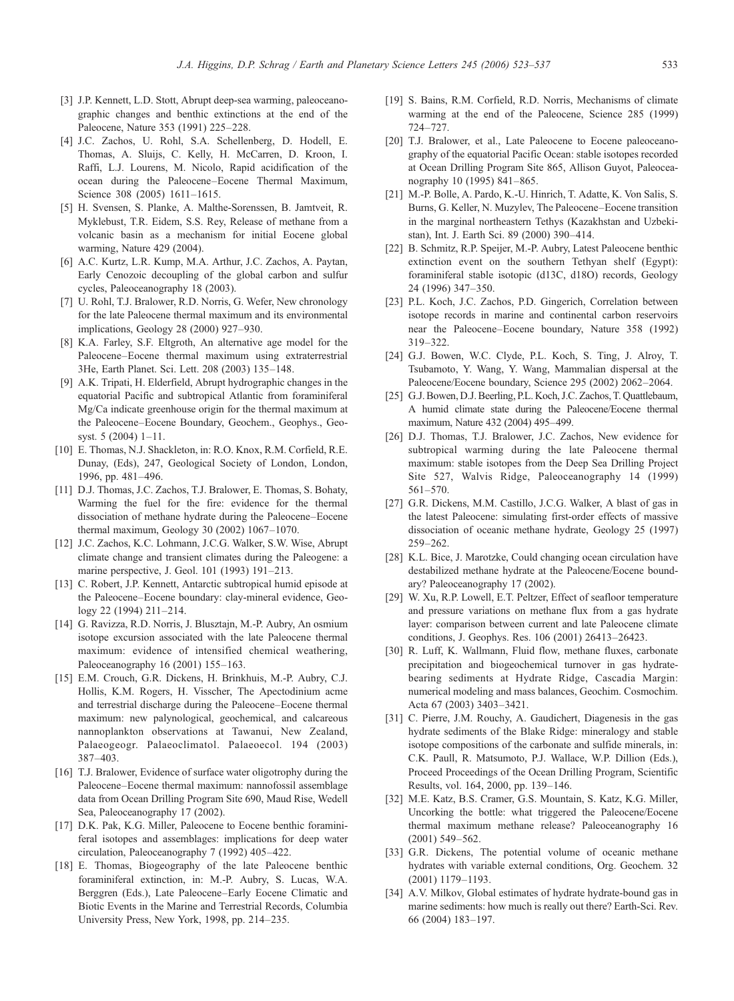- <span id="page-10-0"></span>[3] J.P. Kennett, L.D. Stott, Abrupt deep-sea warming, paleoceanographic changes and benthic extinctions at the end of the Paleocene, Nature 353 (1991) 225–228.
- [4] J.C. Zachos, U. Rohl, S.A. Schellenberg, D. Hodell, E. Thomas, A. Sluijs, C. Kelly, H. McCarren, D. Kroon, I. Raffi, L.J. Lourens, M. Nicolo, Rapid acidification of the ocean during the Paleocene–Eocene Thermal Maximum, Science 308 (2005) 1611–1615.
- [5] H. Svensen, S. Planke, A. Malthe-Sorenssen, B. Jamtveit, R. Myklebust, T.R. Eidem, S.S. Rey, Release of methane from a volcanic basin as a mechanism for initial Eocene global warming, Nature 429 (2004).
- [6] A.C. Kurtz, L.R. Kump, M.A. Arthur, J.C. Zachos, A. Paytan, Early Cenozoic decoupling of the global carbon and sulfur cycles, Paleoceanography 18 (2003).
- [7] U. Rohl, T.J. Bralower, R.D. Norris, G. Wefer, New chronology for the late Paleocene thermal maximum and its environmental implications, Geology 28 (2000) 927–930.
- [8] K.A. Farley, S.F. Eltgroth, An alternative age model for the Paleocene–Eocene thermal maximum using extraterrestrial 3He, Earth Planet. Sci. Lett. 208 (2003) 135–148.
- [9] A.K. Tripati, H. Elderfield, Abrupt hydrographic changes in the equatorial Pacific and subtropical Atlantic from foraminiferal Mg/Ca indicate greenhouse origin for the thermal maximum at the Paleocene–Eocene Boundary, Geochem., Geophys., Geosyst. 5 (2004) 1–11.
- [10] E. Thomas, N.J. Shackleton, in: R.O. Knox, R.M. Corfield, R.E. Dunay, (Eds), 247, Geological Society of London, London, 1996, pp. 481–496.
- [11] D.J. Thomas, J.C. Zachos, T.J. Bralower, E. Thomas, S. Bohaty, Warming the fuel for the fire: evidence for the thermal dissociation of methane hydrate during the Paleocene–Eocene thermal maximum, Geology 30 (2002) 1067–1070.
- [12] J.C. Zachos, K.C. Lohmann, J.C.G. Walker, S.W. Wise, Abrupt climate change and transient climates during the Paleogene: a marine perspective, J. Geol. 101 (1993) 191–213.
- [13] C. Robert, J.P. Kennett, Antarctic subtropical humid episode at the Paleocene–Eocene boundary: clay-mineral evidence, Geology 22 (1994) 211–214.
- [14] G. Ravizza, R.D. Norris, J. Blusztajn, M.-P. Aubry, An osmium isotope excursion associated with the late Paleocene thermal maximum: evidence of intensified chemical weathering, Paleoceanography 16 (2001) 155–163.
- [15] E.M. Crouch, G.R. Dickens, H. Brinkhuis, M.-P. Aubry, C.J. Hollis, K.M. Rogers, H. Visscher, The Apectodinium acme and terrestrial discharge during the Paleocene–Eocene thermal maximum: new palynological, geochemical, and calcareous nannoplankton observations at Tawanui, New Zealand, Palaeogeogr. Palaeoclimatol. Palaeoecol. 194 (2003) 387–403.
- [16] T.J. Bralower, Evidence of surface water oligotrophy during the Paleocene–Eocene thermal maximum: nannofossil assemblage data from Ocean Drilling Program Site 690, Maud Rise, Wedell Sea, Paleoceanography 17 (2002).
- [17] D.K. Pak, K.G. Miller, Paleocene to Eocene benthic foraminiferal isotopes and assemblages: implications for deep water circulation, Paleoceanography 7 (1992) 405–422.
- [18] E. Thomas, Biogeography of the late Paleocene benthic foraminiferal extinction, in: M.-P. Aubry, S. Lucas, W.A. Berggren (Eds.), Late Paleocene–Early Eocene Climatic and Biotic Events in the Marine and Terrestrial Records, Columbia University Press, New York, 1998, pp. 214–235.
- [19] S. Bains, R.M. Corfield, R.D. Norris, Mechanisms of climate warming at the end of the Paleocene, Science 285 (1999) 724–727.
- [20] T.J. Bralower, et al., Late Paleocene to Eocene paleoceanography of the equatorial Pacific Ocean: stable isotopes recorded at Ocean Drilling Program Site 865, Allison Guyot, Paleoceanography 10 (1995) 841–865.
- [21] M.-P. Bolle, A. Pardo, K.-U. Hinrich, T. Adatte, K. Von Salis, S. Burns, G. Keller, N. Muzylev, The Paleocene–Eocene transition in the marginal northeastern Tethys (Kazakhstan and Uzbekistan), Int. J. Earth Sci. 89 (2000) 390–414.
- [22] B. Schmitz, R.P. Speijer, M.-P. Aubry, Latest Paleocene benthic extinction event on the southern Tethyan shelf (Egypt): foraminiferal stable isotopic (d13C, d18O) records, Geology 24 (1996) 347–350.
- [23] P.L. Koch, J.C. Zachos, P.D. Gingerich, Correlation between isotope records in marine and continental carbon reservoirs near the Paleocene–Eocene boundary, Nature 358 (1992) 319–322.
- [24] G.J. Bowen, W.C. Clyde, P.L. Koch, S. Ting, J. Alroy, T. Tsubamoto, Y. Wang, Y. Wang, Mammalian dispersal at the Paleocene/Eocene boundary, Science 295 (2002) 2062–2064.
- [25] G.J. Bowen, D.J. Beerling, P.L. Koch, J.C. Zachos, T. Quattlebaum, A humid climate state during the Paleocene/Eocene thermal maximum, Nature 432 (2004) 495–499.
- [26] D.J. Thomas, T.J. Bralower, J.C. Zachos, New evidence for subtropical warming during the late Paleocene thermal maximum: stable isotopes from the Deep Sea Drilling Project Site 527, Walvis Ridge, Paleoceanography 14 (1999) 561–570.
- [27] G.R. Dickens, M.M. Castillo, J.C.G. Walker, A blast of gas in the latest Paleocene: simulating first-order effects of massive dissociation of oceanic methane hydrate, Geology 25 (1997) 259–262.
- [28] K.L. Bice, J. Marotzke, Could changing ocean circulation have destabilized methane hydrate at the Paleocene/Eocene boundary? Paleoceanography 17 (2002).
- [29] W. Xu, R.P. Lowell, E.T. Peltzer, Effect of seafloor temperature and pressure variations on methane flux from a gas hydrate layer: comparison between current and late Paleocene climate conditions, J. Geophys. Res. 106 (2001) 26413–26423.
- [30] R. Luff, K. Wallmann, Fluid flow, methane fluxes, carbonate precipitation and biogeochemical turnover in gas hydratebearing sediments at Hydrate Ridge, Cascadia Margin: numerical modeling and mass balances, Geochim. Cosmochim. Acta 67 (2003) 3403–3421.
- [31] C. Pierre, J.M. Rouchy, A. Gaudichert, Diagenesis in the gas hydrate sediments of the Blake Ridge: mineralogy and stable isotope compositions of the carbonate and sulfide minerals, in: C.K. Paull, R. Matsumoto, P.J. Wallace, W.P. Dillion (Eds.), Proceed Proceedings of the Ocean Drilling Program, Scientific Results, vol. 164, 2000, pp. 139–146.
- [32] M.E. Katz, B.S. Cramer, G.S. Mountain, S. Katz, K.G. Miller, Uncorking the bottle: what triggered the Paleocene/Eocene thermal maximum methane release? Paleoceanography 16 (2001) 549–562.
- [33] G.R. Dickens, The potential volume of oceanic methane hydrates with variable external conditions, Org. Geochem. 32 (2001) 1179–1193.
- [34] A.V. Milkov, Global estimates of hydrate hydrate-bound gas in marine sediments: how much is really out there? Earth-Sci. Rev. 66 (2004) 183–197.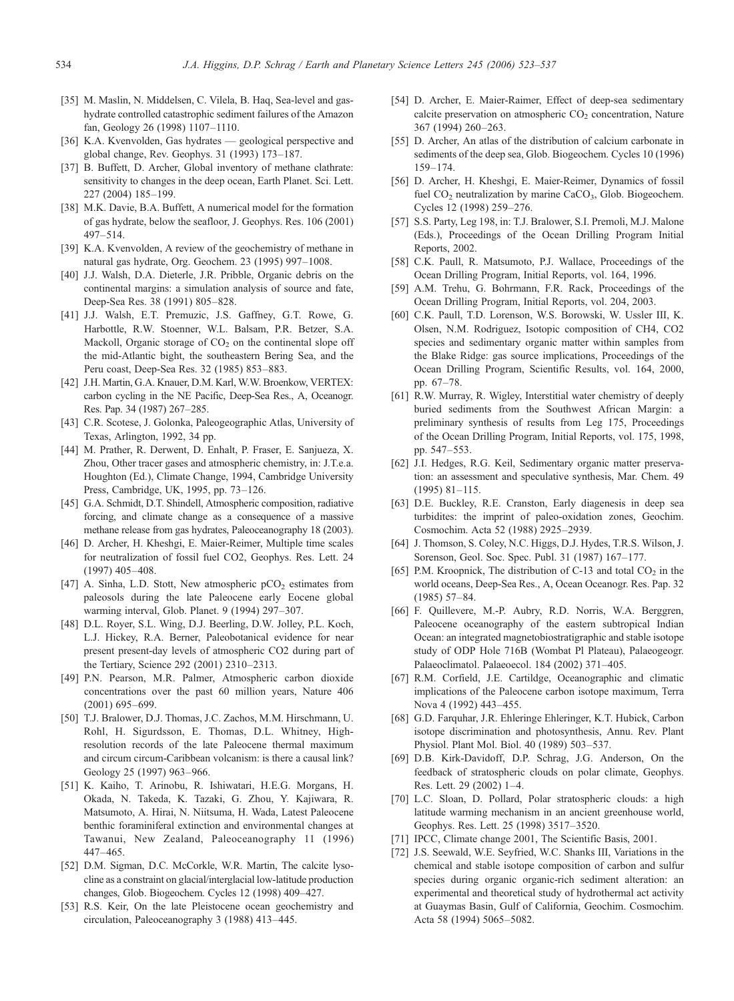- <span id="page-11-0"></span>[35] M. Maslin, N. Middelsen, C. Vilela, B. Haq, Sea-level and gashydrate controlled catastrophic sediment failures of the Amazon fan, Geology 26 (1998) 1107–1110.
- [36] K.A. Kvenvolden, Gas hydrates geological perspective and global change, Rev. Geophys. 31 (1993) 173–187.
- [37] B. Buffett, D. Archer, Global inventory of methane clathrate: sensitivity to changes in the deep ocean, Earth Planet. Sci. Lett. 227 (2004) 185–199.
- [38] M.K. Davie, B.A. Buffett, A numerical model for the formation of gas hydrate, below the seafloor, J. Geophys. Res. 106 (2001) 497–514.
- [39] K.A. Kvenvolden, A review of the geochemistry of methane in natural gas hydrate, Org. Geochem. 23 (1995) 997–1008.
- [40] J.J. Walsh, D.A. Dieterle, J.R. Pribble, Organic debris on the continental margins: a simulation analysis of source and fate, Deep-Sea Res. 38 (1991) 805–828.
- [41] J.J. Walsh, E.T. Premuzic, J.S. Gaffney, G.T. Rowe, G. Harbottle, R.W. Stoenner, W.L. Balsam, P.R. Betzer, S.A. Mackoll, Organic storage of  $CO<sub>2</sub>$  on the continental slope off the mid-Atlantic bight, the southeastern Bering Sea, and the Peru coast, Deep-Sea Res. 32 (1985) 853–883.
- [42] J.H. Martin, G.A. Knauer, D.M. Karl, W.W. Broenkow, VERTEX: carbon cycling in the NE Pacific, Deep-Sea Res., A, Oceanogr. Res. Pap. 34 (1987) 267–285.
- [43] C.R. Scotese, J. Golonka, Paleogeographic Atlas, University of Texas, Arlington, 1992, 34 pp.
- [44] M. Prather, R. Derwent, D. Enhalt, P. Fraser, E. Sanjueza, X. Zhou, Other tracer gases and atmospheric chemistry, in: J.T.e.a. Houghton (Ed.), Climate Change, 1994, Cambridge University Press, Cambridge, UK, 1995, pp. 73–126.
- [45] G.A. Schmidt, D.T. Shindell, Atmospheric composition, radiative forcing, and climate change as a consequence of a massive methane release from gas hydrates, Paleoceanography 18 (2003).
- [46] D. Archer, H. Kheshgi, E. Maier-Reimer, Multiple time scales for neutralization of fossil fuel CO2, Geophys. Res. Lett. 24 (1997) 405–408.
- [47] A. Sinha, L.D. Stott, New atmospheric  $pCO<sub>2</sub>$  estimates from paleosols during the late Paleocene early Eocene global warming interval, Glob. Planet. 9 (1994) 297–307.
- [48] D.L. Royer, S.L. Wing, D.J. Beerling, D.W. Jolley, P.L. Koch, L.J. Hickey, R.A. Berner, Paleobotanical evidence for near present present-day levels of atmospheric CO2 during part of the Tertiary, Science 292 (2001) 2310–2313.
- [49] P.N. Pearson, M.R. Palmer, Atmospheric carbon dioxide concentrations over the past 60 million years, Nature 406 (2001) 695–699.
- [50] T.J. Bralower, D.J. Thomas, J.C. Zachos, M.M. Hirschmann, U. Rohl, H. Sigurdsson, E. Thomas, D.L. Whitney, Highresolution records of the late Paleocene thermal maximum and circum circum-Caribbean volcanism: is there a causal link? Geology 25 (1997) 963–966.
- [51] K. Kaiho, T. Arinobu, R. Ishiwatari, H.E.G. Morgans, H. Okada, N. Takeda, K. Tazaki, G. Zhou, Y. Kajiwara, R. Matsumoto, A. Hirai, N. Niitsuma, H. Wada, Latest Paleocene benthic foraminiferal extinction and environmental changes at Tawanui, New Zealand, Paleoceanography 11 (1996) 447–465.
- [52] D.M. Sigman, D.C. McCorkle, W.R. Martin, The calcite lysocline as a constraint on glacial/interglacial low-latitude production changes, Glob. Biogeochem. Cycles 12 (1998) 409–427.
- [53] R.S. Keir, On the late Pleistocene ocean geochemistry and circulation, Paleoceanography 3 (1988) 413–445.
- [54] D. Archer, E. Maier-Raimer, Effect of deep-sea sedimentary calcite preservation on atmospheric  $CO<sub>2</sub>$  concentration, Nature 367 (1994) 260–263.
- [55] D. Archer, An atlas of the distribution of calcium carbonate in sediments of the deep sea, Glob. Biogeochem. Cycles 10 (1996) 159–174.
- [56] D. Archer, H. Kheshgi, E. Maier-Reimer, Dynamics of fossil fuel  $CO<sub>2</sub>$  neutralization by marine  $CaCO<sub>3</sub>$ , Glob. Biogeochem. Cycles 12 (1998) 259–276.
- [57] S.S. Party, Leg 198, in: T.J. Bralower, S.I. Premoli, M.J. Malone (Eds.), Proceedings of the Ocean Drilling Program Initial Reports, 2002.
- [58] C.K. Paull, R. Matsumoto, P.J. Wallace, Proceedings of the Ocean Drilling Program, Initial Reports, vol. 164, 1996.
- [59] A.M. Trehu, G. Bohrmann, F.R. Rack, Proceedings of the Ocean Drilling Program, Initial Reports, vol. 204, 2003.
- [60] C.K. Paull, T.D. Lorenson, W.S. Borowski, W. Ussler III, K. Olsen, N.M. Rodriguez, Isotopic composition of CH4, CO2 species and sedimentary organic matter within samples from the Blake Ridge: gas source implications, Proceedings of the Ocean Drilling Program, Scientific Results, vol. 164, 2000, pp. 67–78.
- [61] R.W. Murray, R. Wigley, Interstitial water chemistry of deeply buried sediments from the Southwest African Margin: a preliminary synthesis of results from Leg 175, Proceedings of the Ocean Drilling Program, Initial Reports, vol. 175, 1998, pp. 547–553.
- [62] J.I. Hedges, R.G. Keil, Sedimentary organic matter preservation: an assessment and speculative synthesis, Mar. Chem. 49 (1995) 81–115.
- [63] D.E. Buckley, R.E. Cranston, Early diagenesis in deep sea turbidites: the imprint of paleo-oxidation zones, Geochim. Cosmochim. Acta 52 (1988) 2925–2939.
- [64] J. Thomson, S. Coley, N.C. Higgs, D.J. Hydes, T.R.S. Wilson, J. Sorenson, Geol. Soc. Spec. Publ. 31 (1987) 167–177.
- [65] P.M. Kroopnick, The distribution of C-13 and total  $CO<sub>2</sub>$  in the world oceans, Deep-Sea Res., A, Ocean Oceanogr. Res. Pap. 32 (1985) 57–84.
- [66] F. Quillevere, M.-P. Aubry, R.D. Norris, W.A. Berggren, Paleocene oceanography of the eastern subtropical Indian Ocean: an integrated magnetobiostratigraphic and stable isotope study of ODP Hole 716B (Wombat Pl Plateau), Palaeogeogr. Palaeoclimatol. Palaeoecol. 184 (2002) 371–405.
- [67] R.M. Corfield, J.E. Cartildge, Oceanographic and climatic implications of the Paleocene carbon isotope maximum, Terra Nova 4 (1992) 443–455.
- [68] G.D. Farquhar, J.R. Ehleringe Ehleringer, K.T. Hubick, Carbon isotope discrimination and photosynthesis, Annu. Rev. Plant Physiol. Plant Mol. Biol. 40 (1989) 503–537.
- [69] D.B. Kirk-Davidoff, D.P. Schrag, J.G. Anderson, On the feedback of stratospheric clouds on polar climate, Geophys. Res. Lett. 29 (2002) 1–4.
- [70] L.C. Sloan, D. Pollard, Polar stratospheric clouds: a high latitude warming mechanism in an ancient greenhouse world, Geophys. Res. Lett. 25 (1998) 3517–3520.
- [71] IPCC, Climate change 2001, The Scientific Basis, 2001.
- [72] J.S. Seewald, W.E. Seyfried, W.C. Shanks III, Variations in the chemical and stable isotope composition of carbon and sulfur species during organic organic-rich sediment alteration: an experimental and theoretical study of hydrothermal act activity at Guaymas Basin, Gulf of California, Geochim. Cosmochim. Acta 58 (1994) 5065–5082.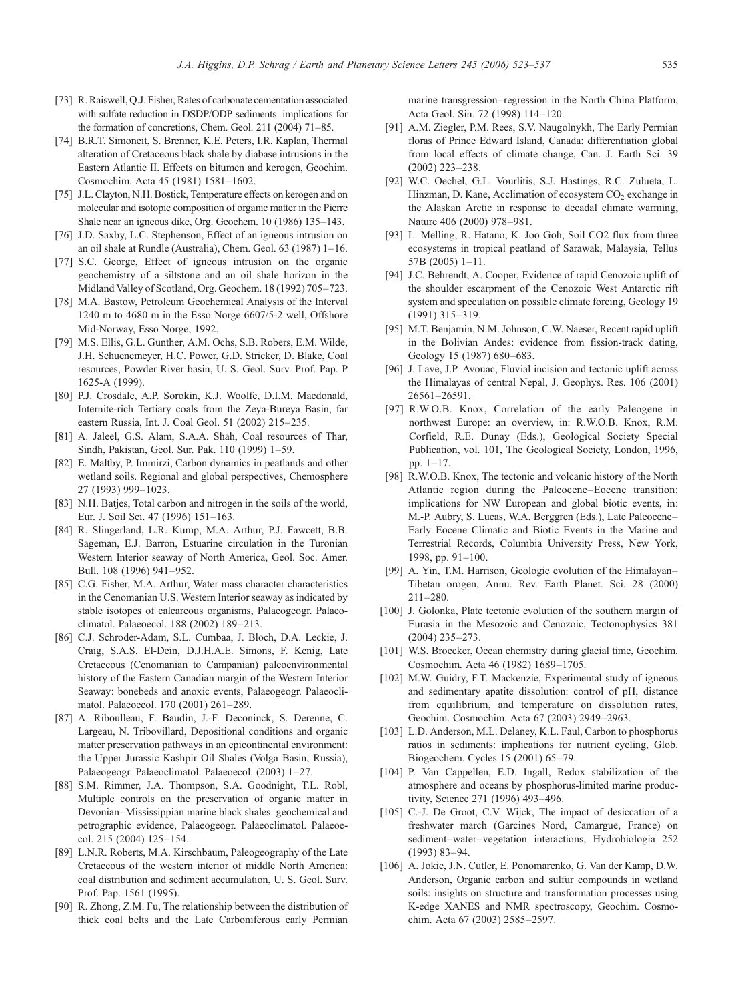- <span id="page-12-0"></span>[73] R. Raiswell, O.J. Fisher, Rates of carbonate cementation associated with sulfate reduction in DSDP/ODP sediments: implications for the formation of concretions, Chem. Geol. 211 (2004) 71–85.
- [74] B.R.T. Simoneit, S. Brenner, K.E. Peters, I.R. Kaplan, Thermal alteration of Cretaceous black shale by diabase intrusions in the Eastern Atlantic II. Effects on bitumen and kerogen, Geochim. Cosmochim. Acta 45 (1981) 1581–1602.
- [75] J.L. Clayton, N.H. Bostick, Temperature effects on kerogen and on molecular and isotopic composition of organic matter in the Pierre Shale near an igneous dike, Org. Geochem. 10 (1986) 135–143.
- [76] J.D. Saxby, L.C. Stephenson, Effect of an igneous intrusion on an oil shale at Rundle (Australia), Chem. Geol. 63 (1987) 1–16.
- [77] S.C. George, Effect of igneous intrusion on the organic geochemistry of a siltstone and an oil shale horizon in the Midland Valley of Scotland, Org. Geochem. 18 (1992) 705–723.
- [78] M.A. Bastow, Petroleum Geochemical Analysis of the Interval 1240 m to 4680 m in the Esso Norge 6607/5-2 well, Offshore Mid-Norway, Esso Norge, 1992.
- [79] M.S. Ellis, G.L. Gunther, A.M. Ochs, S.B. Robers, E.M. Wilde, J.H. Schuenemeyer, H.C. Power, G.D. Stricker, D. Blake, Coal resources, Powder River basin, U. S. Geol. Surv. Prof. Pap. P 1625-A (1999).
- [80] P.J. Crosdale, A.P. Sorokin, K.J. Woolfe, D.I.M. Macdonald, Internite-rich Tertiary coals from the Zeya-Bureya Basin, far eastern Russia, Int. J. Coal Geol. 51 (2002) 215–235.
- [81] A. Jaleel, G.S. Alam, S.A.A. Shah, Coal resources of Thar, Sindh, Pakistan, Geol. Sur. Pak. 110 (1999) 1–59.
- [82] E. Maltby, P. Immirzi, Carbon dynamics in peatlands and other wetland soils. Regional and global perspectives, Chemosphere 27 (1993) 999–1023.
- [83] N.H. Batjes, Total carbon and nitrogen in the soils of the world, Eur. J. Soil Sci. 47 (1996) 151–163.
- [84] R. Slingerland, L.R. Kump, M.A. Arthur, P.J. Fawcett, B.B. Sageman, E.J. Barron, Estuarine circulation in the Turonian Western Interior seaway of North America, Geol. Soc. Amer. Bull. 108 (1996) 941–952.
- [85] C.G. Fisher, M.A. Arthur, Water mass character characteristics in the Cenomanian U.S. Western Interior seaway as indicated by stable isotopes of calcareous organisms, Palaeogeogr. Palaeoclimatol. Palaeoecol. 188 (2002) 189–213.
- [86] C.J. Schroder-Adam, S.L. Cumbaa, J. Bloch, D.A. Leckie, J. Craig, S.A.S. El-Dein, D.J.H.A.E. Simons, F. Kenig, Late Cretaceous (Cenomanian to Campanian) paleoenvironmental history of the Eastern Canadian margin of the Western Interior Seaway: bonebeds and anoxic events, Palaeogeogr. Palaeoclimatol. Palaeoecol. 170 (2001) 261–289.
- [87] A. Riboulleau, F. Baudin, J.-F. Deconinck, S. Derenne, C. Largeau, N. Tribovillard, Depositional conditions and organic matter preservation pathways in an epicontinental environment: the Upper Jurassic Kashpir Oil Shales (Volga Basin, Russia), Palaeogeogr. Palaeoclimatol. Palaeoecol. (2003) 1–27.
- [88] S.M. Rimmer, J.A. Thompson, S.A. Goodnight, T.L. Robl, Multiple controls on the preservation of organic matter in Devonian–Mississippian marine black shales: geochemical and petrographic evidence, Palaeogeogr. Palaeoclimatol. Palaeoecol. 215 (2004) 125–154.
- [89] L.N.R. Roberts, M.A. Kirschbaum, Paleogeography of the Late Cretaceous of the western interior of middle North America: coal distribution and sediment accumulation, U. S. Geol. Surv. Prof. Pap. 1561 (1995).
- [90] R. Zhong, Z.M. Fu, The relationship between the distribution of thick coal belts and the Late Carboniferous early Permian

marine transgression–regression in the North China Platform, Acta Geol. Sin. 72 (1998) 114–120.

- [91] A.M. Ziegler, P.M. Rees, S.V. Naugolnykh, The Early Permian floras of Prince Edward Island, Canada: differentiation global from local effects of climate change, Can. J. Earth Sci. 39 (2002) 223–238.
- [92] W.C. Oechel, G.L. Vourlitis, S.J. Hastings, R.C. Zulueta, L. Hinzman, D. Kane, Acclimation of ecosystem  $CO<sub>2</sub>$  exchange in the Alaskan Arctic in response to decadal climate warming, Nature 406 (2000) 978–981.
- [93] L. Melling, R. Hatano, K. Joo Goh, Soil CO2 flux from three ecosystems in tropical peatland of Sarawak, Malaysia, Tellus 57B (2005) 1–11.
- [94] J.C. Behrendt, A. Cooper, Evidence of rapid Cenozoic uplift of the shoulder escarpment of the Cenozoic West Antarctic rift system and speculation on possible climate forcing, Geology 19 (1991) 315–319.
- [95] M.T. Benjamin, N.M. Johnson, C.W. Naeser, Recent rapid uplift in the Bolivian Andes: evidence from fission-track dating, Geology 15 (1987) 680–683.
- [96] J. Lave, J.P. Avouac, Fluvial incision and tectonic uplift across the Himalayas of central Nepal, J. Geophys. Res. 106 (2001) 26561–26591.
- [97] R.W.O.B. Knox, Correlation of the early Paleogene in northwest Europe: an overview, in: R.W.O.B. Knox, R.M. Corfield, R.E. Dunay (Eds.), Geological Society Special Publication, vol. 101, The Geological Society, London, 1996, pp. 1–17.
- [98] R.W.O.B. Knox, The tectonic and volcanic history of the North Atlantic region during the Paleocene–Eocene transition: implications for NW European and global biotic events, in: M.-P. Aubry, S. Lucas, W.A. Berggren (Eds.), Late Paleocene– Early Eocene Climatic and Biotic Events in the Marine and Terrestrial Records, Columbia University Press, New York, 1998, pp. 91–100.
- [99] A. Yin, T.M. Harrison, Geologic evolution of the Himalayan– Tibetan orogen, Annu. Rev. Earth Planet. Sci. 28 (2000) 211–280.
- [100] J. Golonka, Plate tectonic evolution of the southern margin of Eurasia in the Mesozoic and Cenozoic, Tectonophysics 381 (2004) 235–273.
- [101] W.S. Broecker, Ocean chemistry during glacial time, Geochim. Cosmochim. Acta 46 (1982) 1689–1705.
- [102] M.W. Guidry, F.T. Mackenzie, Experimental study of igneous and sedimentary apatite dissolution: control of pH, distance from equilibrium, and temperature on dissolution rates, Geochim. Cosmochim. Acta 67 (2003) 2949–2963.
- [103] L.D. Anderson, M.L. Delaney, K.L. Faul, Carbon to phosphorus ratios in sediments: implications for nutrient cycling, Glob. Biogeochem. Cycles 15 (2001) 65–79.
- [104] P. Van Cappellen, E.D. Ingall, Redox stabilization of the atmosphere and oceans by phosphorus-limited marine productivity, Science 271 (1996) 493–496.
- [105] C.-J. De Groot, C.V. Wijck, The impact of desiccation of a freshwater march (Garcines Nord, Camargue, France) on sediment–water–vegetation interactions, Hydrobiologia 252 (1993) 83–94.
- [106] A. Jokic, J.N. Cutler, E. Ponomarenko, G. Van der Kamp, D.W. Anderson, Organic carbon and sulfur compounds in wetland soils: insights on structure and transformation processes using K-edge XANES and NMR spectroscopy, Geochim. Cosmochim. Acta 67 (2003) 2585–2597.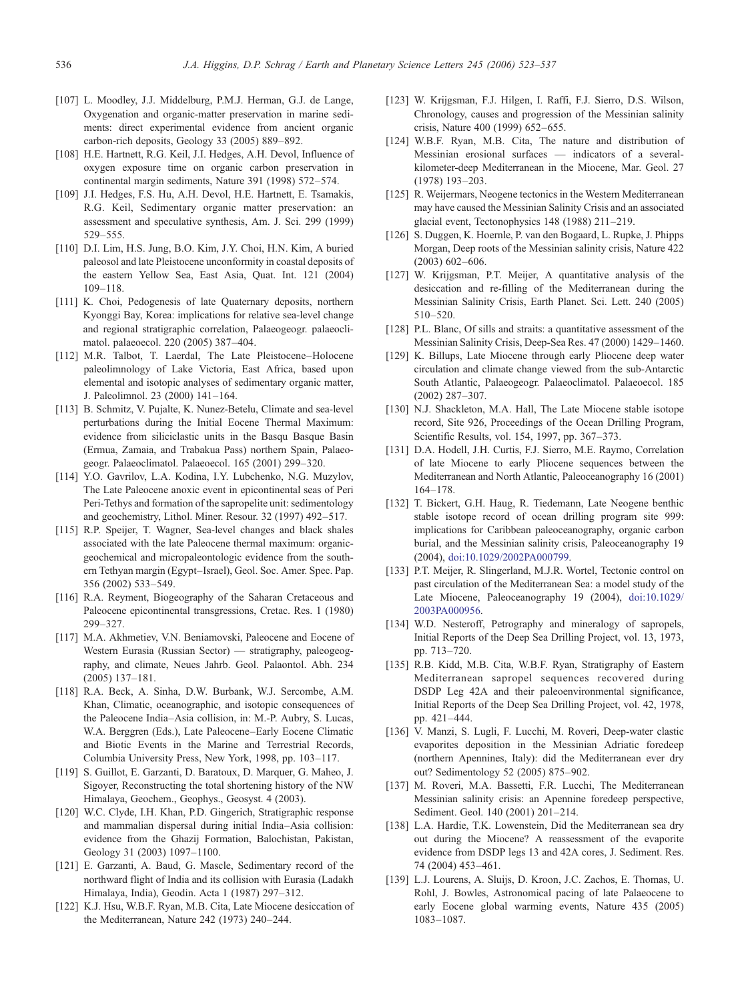- <span id="page-13-0"></span>[107] L. Moodley, J.J. Middelburg, P.M.J. Herman, G.J. de Lange, Oxygenation and organic-matter preservation in marine sediments: direct experimental evidence from ancient organic carbon-rich deposits, Geology 33 (2005) 889–892.
- [108] H.E. Hartnett, R.G. Keil, J.I. Hedges, A.H. Devol, Influence of oxygen exposure time on organic carbon preservation in continental margin sediments, Nature 391 (1998) 572–574.
- [109] J.I. Hedges, F.S. Hu, A.H. Devol, H.E. Hartnett, E. Tsamakis, R.G. Keil, Sedimentary organic matter preservation: an assessment and speculative synthesis, Am. J. Sci. 299 (1999) 529–555.
- [110] D.I. Lim, H.S. Jung, B.O. Kim, J.Y. Choi, H.N. Kim, A buried paleosol and late Pleistocene unconformity in coastal deposits of the eastern Yellow Sea, East Asia, Quat. Int. 121 (2004) 109–118.
- [111] K. Choi, Pedogenesis of late Quaternary deposits, northern Kyonggi Bay, Korea: implications for relative sea-level change and regional stratigraphic correlation, Palaeogeogr. palaeoclimatol. palaeoecol. 220 (2005) 387–404.
- [112] M.R. Talbot, T. Laerdal, The Late Pleistocene–Holocene paleolimnology of Lake Victoria, East Africa, based upon elemental and isotopic analyses of sedimentary organic matter, J. Paleolimnol. 23 (2000) 141–164.
- [113] B. Schmitz, V. Pujalte, K. Nunez-Betelu, Climate and sea-level perturbations during the Initial Eocene Thermal Maximum: evidence from siliciclastic units in the Basqu Basque Basin (Ermua, Zamaia, and Trabakua Pass) northern Spain, Palaeogeogr. Palaeoclimatol. Palaeoecol. 165 (2001) 299–320.
- [114] Y.O. Gavrilov, L.A. Kodina, I.Y. Lubchenko, N.G. Muzylov, The Late Paleocene anoxic event in epicontinental seas of Peri Peri-Tethys and formation of the sapropelite unit: sedimentology and geochemistry, Lithol. Miner. Resour. 32 (1997) 492–517.
- [115] R.P. Speijer, T. Wagner, Sea-level changes and black shales associated with the late Paleocene thermal maximum: organicgeochemical and micropaleontologic evidence from the southern Tethyan margin (Egypt–Israel), Geol. Soc. Amer. Spec. Pap. 356 (2002) 533–549.
- [116] R.A. Reyment, Biogeography of the Saharan Cretaceous and Paleocene epicontinental transgressions, Cretac. Res. 1 (1980) 299–327.
- [117] M.A. Akhmetiev, V.N. Beniamovski, Paleocene and Eocene of Western Eurasia (Russian Sector) — stratigraphy, paleogeography, and climate, Neues Jahrb. Geol. Palaontol. Abh. 234 (2005) 137–181.
- [118] R.A. Beck, A. Sinha, D.W. Burbank, W.J. Sercombe, A.M. Khan, Climatic, oceanographic, and isotopic consequences of the Paleocene India–Asia collision, in: M.-P. Aubry, S. Lucas, W.A. Berggren (Eds.), Late Paleocene–Early Eocene Climatic and Biotic Events in the Marine and Terrestrial Records, Columbia University Press, New York, 1998, pp. 103–117.
- [119] S. Guillot, E. Garzanti, D. Baratoux, D. Marquer, G. Maheo, J. Sigoyer, Reconstructing the total shortening history of the NW Himalaya, Geochem., Geophys., Geosyst. 4 (2003).
- [120] W.C. Clyde, I.H. Khan, P.D. Gingerich, Stratigraphic response and mammalian dispersal during initial India–Asia collision: evidence from the Ghazij Formation, Balochistan, Pakistan, Geology 31 (2003) 1097–1100.
- [121] E. Garzanti, A. Baud, G. Mascle, Sedimentary record of the northward flight of India and its collision with Eurasia (Ladakh Himalaya, India), Geodin. Acta 1 (1987) 297–312.
- [122] K.J. Hsu, W.B.F. Ryan, M.B. Cita, Late Miocene desiccation of the Mediterranean, Nature 242 (1973) 240–244.
- [123] W. Krijgsman, F.J. Hilgen, I. Raffi, F.J. Sierro, D.S. Wilson, Chronology, causes and progression of the Messinian salinity crisis, Nature 400 (1999) 652–655.
- [124] W.B.F. Ryan, M.B. Cita, The nature and distribution of Messinian erosional surfaces — indicators of a severalkilometer-deep Mediterranean in the Miocene, Mar. Geol. 27 (1978) 193–203.
- [125] R. Weijermars, Neogene tectonics in the Western Mediterranean may have caused the Messinian Salinity Crisis and an associated glacial event, Tectonophysics 148 (1988) 211–219.
- [126] S. Duggen, K. Hoernle, P. van den Bogaard, L. Rupke, J. Phipps Morgan, Deep roots of the Messinian salinity crisis, Nature 422 (2003) 602–606.
- [127] W. Krijgsman, P.T. Meijer, A quantitative analysis of the desiccation and re-filling of the Mediterranean during the Messinian Salinity Crisis, Earth Planet. Sci. Lett. 240 (2005) 510–520.
- [128] P.L. Blanc, Of sills and straits: a quantitative assessment of the Messinian Salinity Crisis, Deep-Sea Res. 47 (2000) 1429–1460.
- [129] K. Billups, Late Miocene through early Pliocene deep water circulation and climate change viewed from the sub-Antarctic South Atlantic, Palaeogeogr. Palaeoclimatol. Palaeoecol. 185 (2002) 287–307.
- [130] N.J. Shackleton, M.A. Hall, The Late Miocene stable isotope record, Site 926, Proceedings of the Ocean Drilling Program, Scientific Results, vol. 154, 1997, pp. 367–373.
- [131] D.A. Hodell, J.H. Curtis, F.J. Sierro, M.E. Raymo, Correlation of late Miocene to early Pliocene sequences between the Mediterranean and North Atlantic, Paleoceanography 16 (2001) 164–178.
- [132] T. Bickert, G.H. Haug, R. Tiedemann, Late Neogene benthic stable isotope record of ocean drilling program site 999: implications for Caribbean paleoceanography, organic carbon burial, and the Messinian salinity crisis, Paleoceanography 19 (2004), [doi:10.1029/2002PA000799.](http://dx.doi.org/10.1029/2002PA000799)
- [133] P.T. Meijer, R. Slingerland, M.J.R. Wortel, Tectonic control on past circulation of the Mediterranean Sea: a model study of the Late Miocene, Paleoceanography 19 (2004), [doi:10.1029/](http://dx.doi.org/10.1029/2003PA000956) 2003PA000956.
- [134] W.D. Nesteroff, Petrography and mineralogy of sapropels, Initial Reports of the Deep Sea Drilling Project, vol. 13, 1973, pp. 713–720.
- [135] R.B. Kidd, M.B. Cita, W.B.F. Ryan, Stratigraphy of Eastern Mediterranean sapropel sequences recovered during DSDP Leg 42A and their paleoenvironmental significance, Initial Reports of the Deep Sea Drilling Project, vol. 42, 1978, pp. 421–444.
- [136] V. Manzi, S. Lugli, F. Lucchi, M. Roveri, Deep-water clastic evaporites deposition in the Messinian Adriatic foredeep (northern Apennines, Italy): did the Mediterranean ever dry out? Sedimentology 52 (2005) 875–902.
- [137] M. Roveri, M.A. Bassetti, F.R. Lucchi, The Mediterranean Messinian salinity crisis: an Apennine foredeep perspective, Sediment. Geol. 140 (2001) 201–214.
- [138] L.A. Hardie, T.K. Lowenstein, Did the Mediterranean sea dry out during the Miocene? A reassessment of the evaporite evidence from DSDP legs 13 and 42A cores, J. Sediment. Res. 74 (2004) 453–461.
- [139] L.J. Lourens, A. Sluijs, D. Kroon, J.C. Zachos, E. Thomas, U. Rohl, J. Bowles, Astronomical pacing of late Palaeocene to early Eocene global warming events, Nature 435 (2005) 1083–1087.